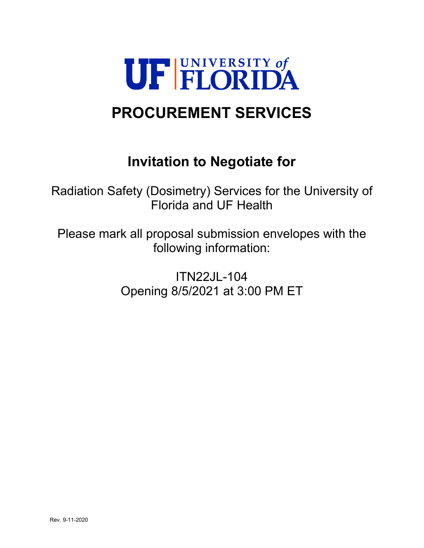

# **PROCUREMENT SERVICES**

## **Invitation to Negotiate for**

Radiation Safety (Dosimetry) Services for the University of Florida and UF Health

Please mark all proposal submission envelopes with the following information:

> ITN22JL-104 Opening 8/5/2021 at 3:00 PM ET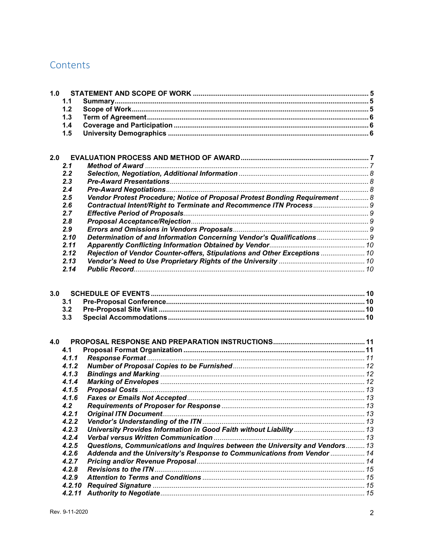## Contents

| 1.0 | 1.1<br>1.2        |                                                                              |  |
|-----|-------------------|------------------------------------------------------------------------------|--|
|     | 1.3               |                                                                              |  |
|     | 1.4               |                                                                              |  |
|     | 1.5               |                                                                              |  |
|     |                   |                                                                              |  |
|     |                   |                                                                              |  |
| 2.0 |                   |                                                                              |  |
|     | 2.1               |                                                                              |  |
|     | 2.2               |                                                                              |  |
|     | 2.3               |                                                                              |  |
|     | 2.4               |                                                                              |  |
|     | 2.5               | Vendor Protest Procedure; Notice of Proposal Protest Bonding Requirement  8  |  |
|     | 2.6               |                                                                              |  |
|     | 2.7               |                                                                              |  |
|     | 2.8               |                                                                              |  |
|     | 2.9               |                                                                              |  |
|     | 2.10              | Determination of and Information Concerning Vendor's Qualifications  9       |  |
|     | 2.11              |                                                                              |  |
|     | 2.12              | Rejection of Vendor Counter-offers, Stipulations and Other Exceptions  10    |  |
|     | 2.13              |                                                                              |  |
|     | 2.14              |                                                                              |  |
| 3.0 | 3.1<br>3.2<br>3.3 |                                                                              |  |
| 4.0 |                   |                                                                              |  |
|     | 4.1               |                                                                              |  |
|     | 4.1.1             |                                                                              |  |
|     | 4.1.2             |                                                                              |  |
|     | 4.1.3             |                                                                              |  |
|     | 4.1.4             |                                                                              |  |
|     | 4.1.5             |                                                                              |  |
|     | 4.1.6             |                                                                              |  |
|     | 4.2               |                                                                              |  |
|     | 4.2.1             |                                                                              |  |
|     | 4.2.2             |                                                                              |  |
|     | 4.2.3             |                                                                              |  |
|     | 4.2.4             |                                                                              |  |
|     | 4.2.5             | Questions, Communications and Inquires between the University and Vendors 13 |  |
|     | 4.2.6             | Addenda and the University's Response to Communications from Vendor  14      |  |
|     | 4.2.7             |                                                                              |  |
|     | 4.2.8<br>4.2.9    |                                                                              |  |
|     |                   |                                                                              |  |
|     | 4.2.10<br>4.2.11  |                                                                              |  |
|     |                   |                                                                              |  |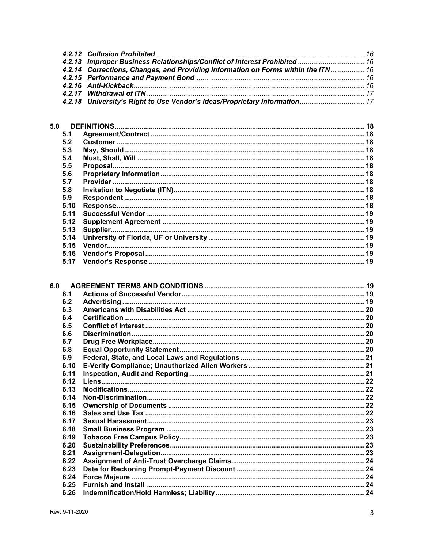| 4.2.13 Improper Business Relationships/Conflict of Interest Prohibited  16        |  |
|-----------------------------------------------------------------------------------|--|
| 4.2.14 Corrections, Changes, and Providing Information on Forms within the ITN 16 |  |
|                                                                                   |  |
|                                                                                   |  |
|                                                                                   |  |
| 4.2.18 University's Right to Use Vendor's Ideas/Proprietary Information  17       |  |
|                                                                                   |  |

| 5.1<br>5.2<br>5.3<br>5.4<br>5.5<br>5.6<br>5.7 |
|-----------------------------------------------|
|                                               |
|                                               |
|                                               |
|                                               |
|                                               |
|                                               |
|                                               |
| 5.8                                           |
| 5.9                                           |
| 5.10                                          |
| 5.11                                          |
| 5.12                                          |
| 5.13                                          |
| 5.14                                          |
| 5.15                                          |
| 5.16                                          |
| 5.17                                          |

| 6.0 |      |  |
|-----|------|--|
|     | 6.1  |  |
|     | 6.2  |  |
|     | 6.3  |  |
|     | 6.4  |  |
|     | 6.5  |  |
|     | 6.6  |  |
|     | 6.7  |  |
|     | 6.8  |  |
|     | 6.9  |  |
|     | 6.10 |  |
|     | 6.11 |  |
|     | 6.12 |  |
|     | 6.13 |  |
|     | 6.14 |  |
|     | 6.15 |  |
|     | 6.16 |  |
|     | 6.17 |  |
|     | 6.18 |  |
|     | 6.19 |  |
|     | 6.20 |  |
|     | 6.21 |  |
|     | 6.22 |  |
|     | 6.23 |  |
|     | 6.24 |  |
|     | 6.25 |  |
|     | 6.26 |  |
|     |      |  |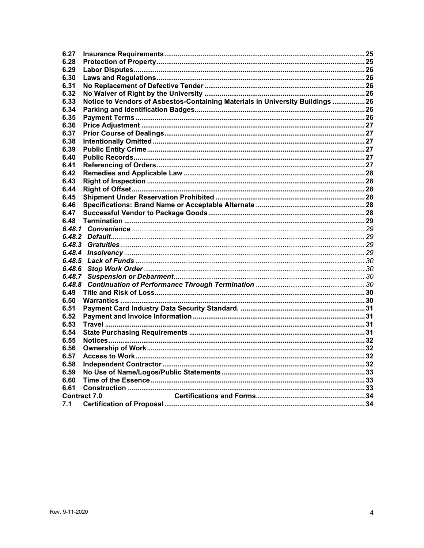| 6.27   |                                                                                |  |
|--------|--------------------------------------------------------------------------------|--|
| 6.28   |                                                                                |  |
| 6.29   |                                                                                |  |
| 6.30   |                                                                                |  |
| 6.31   |                                                                                |  |
| 6.32   |                                                                                |  |
| 6.33   | Notice to Vendors of Asbestos-Containing Materials in University Buildings  26 |  |
| 6.34   |                                                                                |  |
| 6.35   |                                                                                |  |
| 6.36   |                                                                                |  |
| 6.37   |                                                                                |  |
| 6.38   |                                                                                |  |
| 6.39   |                                                                                |  |
| 6.40   |                                                                                |  |
| 6.41   |                                                                                |  |
| 6.42   |                                                                                |  |
| 6.43   |                                                                                |  |
| 6.44   |                                                                                |  |
| 6.45   |                                                                                |  |
| 6.46   |                                                                                |  |
| 6.47   |                                                                                |  |
| 6.48   |                                                                                |  |
| 6.48.1 |                                                                                |  |
|        |                                                                                |  |
| 6.48.3 |                                                                                |  |
| 6.48.4 |                                                                                |  |
| 6.48.5 |                                                                                |  |
| 6.48.6 |                                                                                |  |
| 6.48.7 |                                                                                |  |
| 6.48.8 |                                                                                |  |
| 6.49   |                                                                                |  |
| 6.50   |                                                                                |  |
| 6.51   |                                                                                |  |
| 6.52   |                                                                                |  |
| 6.53   |                                                                                |  |
| 6.54   |                                                                                |  |
| 6.55   |                                                                                |  |
| 6.56   |                                                                                |  |
| 6.57   |                                                                                |  |
| 6.58   |                                                                                |  |
| 6.59   |                                                                                |  |
| 6.60   |                                                                                |  |
| 6.61   |                                                                                |  |
|        | <b>Contract 7.0</b>                                                            |  |
| 7.1    |                                                                                |  |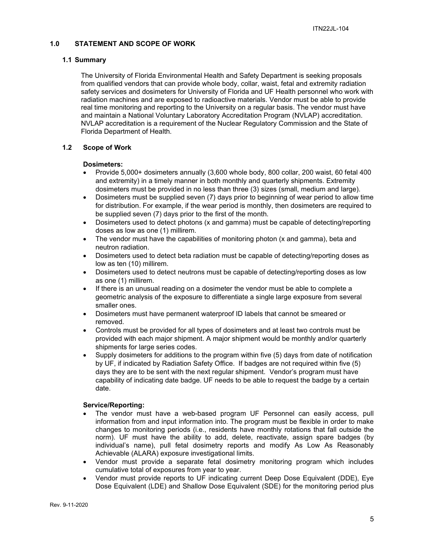#### <span id="page-4-0"></span>**1.0 STATEMENT AND SCOPE OF WORK**

#### <span id="page-4-1"></span>**1.1 Summary**

The University of Florida Environmental Health and Safety Department is seeking proposals from qualified vendors that can provide whole body, collar, waist, fetal and extremity radiation safety services and dosimeters for University of Florida and UF Health personnel who work with radiation machines and are exposed to radioactive materials. Vendor must be able to provide real time monitoring and reporting to the University on a regular basis. The vendor must have and maintain a National Voluntary Laboratory Accreditation Program (NVLAP) accreditation. NVLAP accreditation is a requirement of the Nuclear Regulatory Commission and the State of Florida Department of Health.

#### <span id="page-4-2"></span>**1.2 Scope of Work**

#### **Dosimeters:**

- Provide 5,000+ dosimeters annually (3,600 whole body, 800 collar, 200 waist, 60 fetal 400 and extremity) in a timely manner in both monthly and quarterly shipments. Extremity dosimeters must be provided in no less than three (3) sizes (small, medium and large).
- Dosimeters must be supplied seven (7) days prior to beginning of wear period to allow time for distribution. For example, if the wear period is monthly, then dosimeters are required to be supplied seven (7) days prior to the first of the month.
- Dosimeters used to detect photons (x and gamma) must be capable of detecting/reporting doses as low as one (1) millirem.
- The vendor must have the capabilities of monitoring photon (x and gamma), beta and neutron radiation.
- Dosimeters used to detect beta radiation must be capable of detecting/reporting doses as low as ten (10) millirem.
- Dosimeters used to detect neutrons must be capable of detecting/reporting doses as low as one (1) millirem.
- If there is an unusual reading on a dosimeter the vendor must be able to complete a geometric analysis of the exposure to differentiate a single large exposure from several smaller ones.
- Dosimeters must have permanent waterproof ID labels that cannot be smeared or removed.
- Controls must be provided for all types of dosimeters and at least two controls must be provided with each major shipment. A major shipment would be monthly and/or quarterly shipments for large series codes.
- Supply dosimeters for additions to the program within five (5) days from date of notification by UF, if indicated by Radiation Safety Office. If badges are not required within five (5) days they are to be sent with the next regular shipment. Vendor's program must have capability of indicating date badge. UF needs to be able to request the badge by a certain date.

#### **Service/Reporting:**

- The vendor must have a web-based program UF Personnel can easily access, pull information from and input information into. The program must be flexible in order to make changes to monitoring periods (i.e., residents have monthly rotations that fall outside the norm). UF must have the ability to add, delete, reactivate, assign spare badges (by individual's name), pull fetal dosimetry reports and modify As Low As Reasonably Achievable (ALARA) exposure investigational limits.
- Vendor must provide a separate fetal dosimetry monitoring program which includes cumulative total of exposures from year to year.
- Vendor must provide reports to UF indicating current Deep Dose Equivalent (DDE), Eye Dose Equivalent (LDE) and Shallow Dose Equivalent (SDE) for the monitoring period plus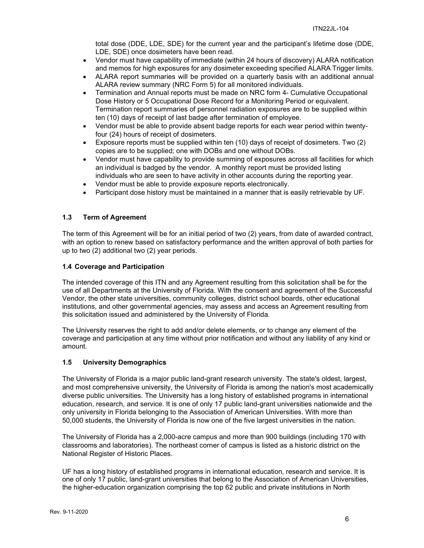total dose (DDE, LDE, SDE) for the current year and the participant's lifetime dose (DDE, LDE, SDE) once dosimeters have been read.

- Vendor must have capability of immediate (within 24 hours of discovery) ALARA notification and memos for high exposures for any dosimeter exceeding specified ALARA Trigger limits.
- ALARA report summaries will be provided on a quarterly basis with an additional annual ALARA review summary (NRC Form 5) for all monitored individuals.
- Termination and Annual reports must be made on NRC form 4- Cumulative Occupational Dose History or 5 Occupational Dose Record for a Monitoring Period or equivalent. Termination report summaries of personnel radiation exposures are to be supplied within ten (10) days of receipt of last badge after termination of employee.
- Vendor must be able to provide absent badge reports for each wear period within twentyfour (24) hours of receipt of dosimeters.
- Exposure reports must be supplied within ten (10) days of receipt of dosimeters. Two (2) copies are to be supplied; one with DOBs and one without DOBs.
- Vendor must have capability to provide summing of exposures across all facilities for which an individual is badged by the vendor. A monthly report must be provided listing individuals who are seen to have activity in other accounts during the reporting year.
- Vendor must be able to provide exposure reports electronically.
- Participant dose history must be maintained in a manner that is easily retrievable by UF.

#### <span id="page-5-0"></span>**1.3 Term of Agreement**

The term of this Agreement will be for an initial period of two (2) years, from date of awarded contract, with an option to renew based on satisfactory performance and the written approval of both parties for up to two (2) additional two (2) year periods.

#### <span id="page-5-1"></span>**1.4 Coverage and Participation**

The intended coverage of this ITN and any Agreement resulting from this solicitation shall be for the use of all Departments at the University of Florida. With the consent and agreement of the Successful Vendor, the other state universities, community colleges, district school boards, other educational institutions, and other governmental agencies, may assess and access an Agreement resulting from this solicitation issued and administered by the University of Florida.

The University reserves the right to add and/or delete elements, or to change any element of the coverage and participation at any time without prior notification and without any liability of any kind or amount.

#### <span id="page-5-2"></span>**1.5 University Demographics**

The University of Florida is a major public land-grant research university. The state's oldest, largest, and most comprehensive university, the University of Florida is among the nation's most academically diverse public universities. The University has a long history of established programs in international education, research, and service. It is one of only 17 public land-grant universities nationwide and the only university in Florida belonging to the Association of American Universities. With more than 50,000 students, the University of Florida is now one of the five largest universities in the nation.

The University of Florida has a 2,000-acre campus and more than 900 buildings (including 170 with classrooms and laboratories). The northeast corner of campus is listed as a historic district on the National Register of Historic Places.

UF has a long history of established programs in international education, research and service. It is one of only 17 public, land-grant universities that belong to the Association of American Universities, the higher-education organization comprising the top 62 public and private institutions in North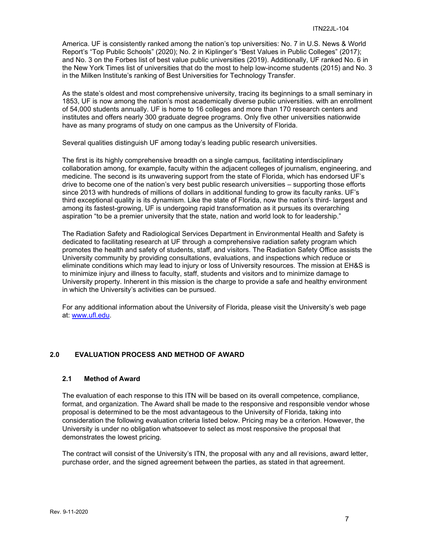America. UF is consistently ranked among the nation's top universities: No. 7 in U.S. News & World Report's "Top Public Schools" (2020); No. 2 in Kiplinger's "Best Values in Public Colleges" (2017); and No. 3 on the Forbes list of best value public universities (2019). Additionally, UF ranked No. 6 in the New York Times list of universities that do the most to help low-income students (2015) and No. 3 in the Milken Institute's ranking of Best Universities for Technology Transfer.

As the state's oldest and most comprehensive university, tracing its beginnings to a small seminary in 1853, UF is now among the nation's most academically diverse public universities. with an enrollment of 54,000 students annually. UF is home to 16 colleges and more than 170 research centers and institutes and offers nearly 300 graduate degree programs. Only five other universities nationwide have as many programs of study on one campus as the University of Florida.

Several qualities distinguish UF among today's leading public research universities.

The first is its highly comprehensive breadth on a single campus, facilitating interdisciplinary collaboration among, for example, faculty within the adjacent colleges of journalism, engineering, and medicine. The second is its unwavering support from the state of Florida, which has endorsed UF's drive to become one of the nation's very best public research universities – supporting those efforts since 2013 with hundreds of millions of dollars in additional funding to grow its faculty ranks. UF's third exceptional quality is its dynamism. Like the state of Florida, now the nation's third- largest and among its fastest-growing, UF is undergoing rapid transformation as it pursues its overarching aspiration "to be a premier university that the state, nation and world look to for leadership."

The Radiation Safety and Radiological Services Department in Environmental Health and Safety is dedicated to facilitating research at UF through a comprehensive radiation safety program which promotes the health and safety of students, staff, and visitors. The Radiation Safety Office assists the University community by providing consultations, evaluations, and inspections which reduce or eliminate conditions which may lead to injury or loss of University resources. The mission at EH&S is to minimize injury and illness to faculty, staff, students and visitors and to minimize damage to University property. Inherent in this mission is the charge to provide a safe and healthy environment in which the University's activities can be pursued.

For any additional information about the University of Florida, please visit the University's web page at: [www.ufl.edu.](http://www.ufl.edu/)

#### <span id="page-6-0"></span>**2.0 EVALUATION PROCESS AND METHOD OF AWARD**

#### <span id="page-6-1"></span>**2.1 Method of Award**

The evaluation of each response to this ITN will be based on its overall competence, compliance, format, and organization. The Award shall be made to the responsive and responsible vendor whose proposal is determined to be the most advantageous to the University of Florida, taking into consideration the following evaluation criteria listed below. Pricing may be a criterion. However, the University is under no obligation whatsoever to select as most responsive the proposal that demonstrates the lowest pricing.

The contract will consist of the University's ITN, the proposal with any and all revisions, award letter, purchase order, and the signed agreement between the parties, as stated in that agreement.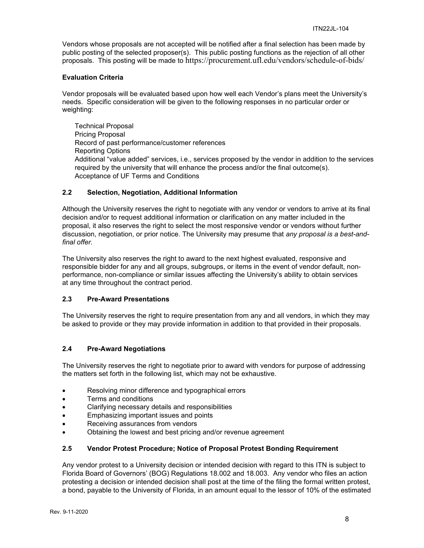Vendors whose proposals are not accepted will be notified after a final selection has been made by public posting of the selected proposer(s). This public posting functions as the rejection of all other proposals. This posting will be made to https://procurement.ufl.edu/vendors/schedule-of-bids/

#### **Evaluation Criteria**

Vendor proposals will be evaluated based upon how well each Vendor's plans meet the University's needs. Specific consideration will be given to the following responses in no particular order or weighting:

Technical Proposal Pricing Proposal Record of past performance/customer references Reporting Options Additional "value added" services, i.e., services proposed by the vendor in addition to the services required by the university that will enhance the process and/or the final outcome(s). Acceptance of UF Terms and Conditions

#### <span id="page-7-0"></span>**2.2 Selection, Negotiation, Additional Information**

Although the University reserves the right to negotiate with any vendor or vendors to arrive at its final decision and/or to request additional information or clarification on any matter included in the proposal, it also reserves the right to select the most responsive vendor or vendors without further discussion, negotiation, or prior notice. The University may presume that *any proposal is a best-andfinal offer.*

The University also reserves the right to award to the next highest evaluated, responsive and responsible bidder for any and all groups, subgroups, or items in the event of vendor default, nonperformance, non-compliance or similar issues affecting the University's ability to obtain services at any time throughout the contract period.

#### <span id="page-7-1"></span>**2.3 Pre-Award Presentations**

The University reserves the right to require presentation from any and all vendors, in which they may be asked to provide or they may provide information in addition to that provided in their proposals.

#### <span id="page-7-2"></span>**2.4 Pre-Award Negotiations**

The University reserves the right to negotiate prior to award with vendors for purpose of addressing the matters set forth in the following list, which may not be exhaustive.

- Resolving minor difference and typographical errors
- Terms and conditions
- Clarifying necessary details and responsibilities
- Emphasizing important issues and points
- Receiving assurances from vendors
- Obtaining the lowest and best pricing and/or revenue agreement

#### <span id="page-7-3"></span>**2.5 Vendor Protest Procedure; Notice of Proposal Protest Bonding Requirement**

Any vendor protest to a University decision or intended decision with regard to this ITN is subject to Florida Board of Governors' (BOG) Regulations 18.002 and 18.003. Any vendor who files an action protesting a decision or intended decision shall post at the time of the filing the formal written protest, a bond, payable to the University of Florida, in an amount equal to the lessor of 10% of the estimated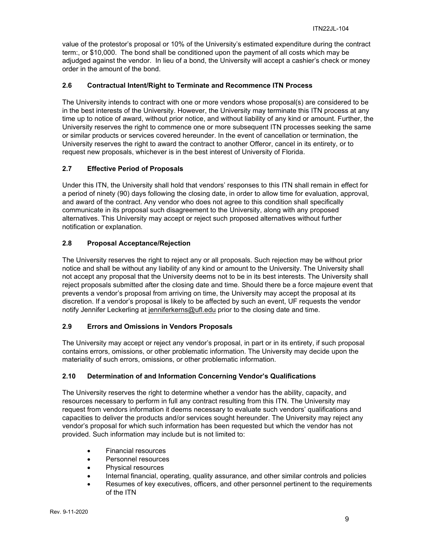value of the protestor's proposal or 10% of the University's estimated expenditure during the contract term:, or \$10,000. The bond shall be conditioned upon the payment of all costs which may be adjudged against the vendor. In lieu of a bond, the University will accept a cashier's check or money order in the amount of the bond.

#### <span id="page-8-0"></span>**2.6 Contractual Intent/Right to Terminate and Recommence ITN Process**

The University intends to contract with one or more vendors whose proposal(s) are considered to be in the best interests of the University. However, the University may terminate this ITN process at any time up to notice of award, without prior notice, and without liability of any kind or amount. Further, the University reserves the right to commence one or more subsequent ITN processes seeking the same or similar products or services covered hereunder. In the event of cancellation or termination, the University reserves the right to award the contract to another Offeror, cancel in its entirety, or to request new proposals, whichever is in the best interest of University of Florida.

#### <span id="page-8-1"></span>**2.7 Effective Period of Proposals**

Under this ITN, the University shall hold that vendors' responses to this ITN shall remain in effect for a period of ninety (90) days following the closing date, in order to allow time for evaluation, approval, and award of the contract. Any vendor who does not agree to this condition shall specifically communicate in its proposal such disagreement to the University, along with any proposed alternatives. This University may accept or reject such proposed alternatives without further notification or explanation.

#### <span id="page-8-2"></span>**2.8 Proposal Acceptance/Rejection**

The University reserves the right to reject any or all proposals. Such rejection may be without prior notice and shall be without any liability of any kind or amount to the University. The University shall not accept any proposal that the University deems not to be in its best interests. The University shall reject proposals submitted after the closing date and time. Should there be a force majeure event that prevents a vendor's proposal from arriving on time, the University may accept the proposal at its discretion. If a vendor's proposal is likely to be affected by such an event, UF requests the vendor notify Jennifer Leckerling at [jenniferkerns@ufl.edu](mailto:jenniferkerns@ufl.edu) prior to the closing date and time.

#### <span id="page-8-3"></span>**2.9 Errors and Omissions in Vendors Proposals**

The University may accept or reject any vendor's proposal, in part or in its entirety, if such proposal contains errors, omissions, or other problematic information. The University may decide upon the materiality of such errors, omissions, or other problematic information.

#### <span id="page-8-4"></span>**2.10 Determination of and Information Concerning Vendor's Qualifications**

The University reserves the right to determine whether a vendor has the ability, capacity, and resources necessary to perform in full any contract resulting from this ITN. The University may request from vendors information it deems necessary to evaluate such vendors' qualifications and capacities to deliver the products and/or services sought hereunder. The University may reject any vendor's proposal for which such information has been requested but which the vendor has not provided. Such information may include but is not limited to:

- Financial resources
- Personnel resources
- Physical resources
- Internal financial, operating, quality assurance, and other similar controls and policies
- Resumes of key executives, officers, and other personnel pertinent to the requirements of the ITN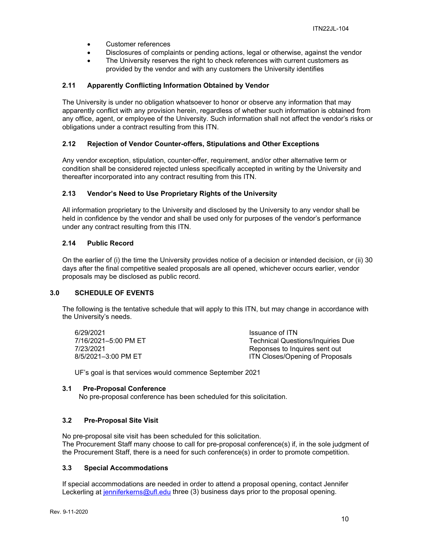- Customer references
- Disclosures of complaints or pending actions, legal or otherwise, against the vendor
- The University reserves the right to check references with current customers as provided by the vendor and with any customers the University identifies

#### <span id="page-9-0"></span>**2.11 Apparently Conflicting Information Obtained by Vendor**

The University is under no obligation whatsoever to honor or observe any information that may apparently conflict with any provision herein, regardless of whether such information is obtained from any office, agent, or employee of the University. Such information shall not affect the vendor's risks or obligations under a contract resulting from this ITN.

#### <span id="page-9-1"></span>**2.12 Rejection of Vendor Counter-offers, Stipulations and Other Exceptions**

Any vendor exception, stipulation, counter-offer, requirement, and/or other alternative term or condition shall be considered rejected unless specifically accepted in writing by the University and thereafter incorporated into any contract resulting from this ITN.

#### <span id="page-9-2"></span>**2.13 Vendor's Need to Use Proprietary Rights of the University**

All information proprietary to the University and disclosed by the University to any vendor shall be held in confidence by the vendor and shall be used only for purposes of the vendor's performance under any contract resulting from this ITN.

#### <span id="page-9-3"></span>**2.14 Public Record**

On the earlier of (i) the time the University provides notice of a decision or intended decision, or (ii) 30 days after the final competitive sealed proposals are all opened, whichever occurs earlier, vendor proposals may be disclosed as public record.

#### <span id="page-9-4"></span>**3.0 SCHEDULE OF EVENTS**

The following is the tentative schedule that will apply to this ITN, but may change in accordance with the University's needs.

| 6/29/2021            | Issuance of ITN                          |
|----------------------|------------------------------------------|
| 7/16/2021-5:00 PM ET | <b>Technical Questions/Inquiries Due</b> |
| 7/23/2021            | Reponses to Inquires sent out            |
| 8/5/2021-3:00 PM ET  | ITN Closes/Opening of Proposals          |

UF's goal is that services would commence September 2021

#### <span id="page-9-5"></span>**3.1 Pre-Proposal Conference**

No pre-proposal conference has been scheduled for this solicitation.

#### <span id="page-9-6"></span>**3.2 Pre-Proposal Site Visit**

No pre-proposal site visit has been scheduled for this solicitation.

The Procurement Staff many choose to call for pre-proposal conference(s) if, in the sole judgment of the Procurement Staff, there is a need for such conference(s) in order to promote competition.

#### <span id="page-9-7"></span>**3.3 Special Accommodations**

If special accommodations are needed in order to attend a proposal opening, contact Jennifer Leckerling at [jenniferkerns@ufl.edu](mailto:jenniferkerns@ufl.edu) three (3) business days prior to the proposal opening.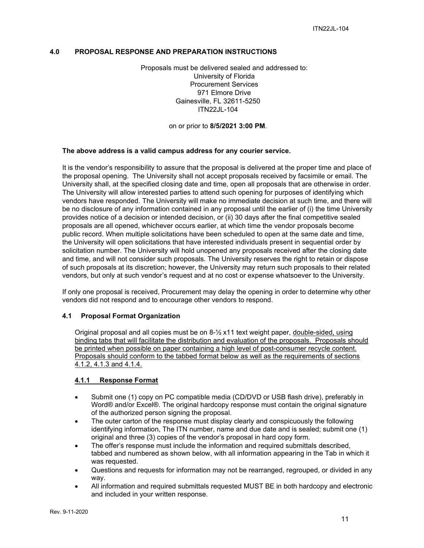#### <span id="page-10-0"></span>**4.0 PROPOSAL RESPONSE AND PREPARATION INSTRUCTIONS**

Proposals must be delivered sealed and addressed to: University of Florida Procurement Services 971 Elmore Drive Gainesville, FL 32611-5250 ITN22JL-104

on or prior to **8/5/2021 3:00 PM**.

#### **The above address is a valid campus address for any courier service.**

It is the vendor's responsibility to assure that the proposal is delivered at the proper time and place of the proposal opening. The University shall not accept proposals received by facsimile or email. The University shall, at the specified closing date and time, open all proposals that are otherwise in order. The University will allow interested parties to attend such opening for purposes of identifying which vendors have responded. The University will make no immediate decision at such time, and there will be no disclosure of any information contained in any proposal until the earlier of (i) the time University provides notice of a decision or intended decision, or (ii) 30 days after the final competitive sealed proposals are all opened, whichever occurs earlier, at which time the vendor proposals become public record. When multiple solicitations have been scheduled to open at the same date and time, the University will open solicitations that have interested individuals present in sequential order by solicitation number. The University will hold unopened any proposals received after the closing date and time, and will not consider such proposals. The University reserves the right to retain or dispose of such proposals at its discretion; however, the University may return such proposals to their related vendors, but only at such vendor's request and at no cost or expense whatsoever to the University.

If only one proposal is received, Procurement may delay the opening in order to determine why other vendors did not respond and to encourage other vendors to respond.

#### <span id="page-10-1"></span>**4.1 Proposal Format Organization**

Original proposal and all copies must be on 8-½ x11 text weight paper, double-sided, using binding tabs that will facilitate the distribution and evaluation of the proposals. Proposals should be printed when possible on paper containing a high level of post-consumer recycle content. Proposals should conform to the tabbed format below as well as the requirements of sections 4.1.2, 4.1.3 and 4.1.4.

#### <span id="page-10-2"></span>**4.1.1 Response Format**

- Submit one (1) copy on PC compatible media (CD/DVD or USB flash drive), preferably in Word® and/or Excel®. The original hardcopy response must contain the original signature of the authorized person signing the proposal.
- The outer carton of the response must display clearly and conspicuously the following identifying information, The ITN number, name and due date and is sealed; submit one (1) original and three (3) copies of the vendor's proposal in hard copy form.
- The offer's response must include the information and required submittals described, tabbed and numbered as shown below, with all information appearing in the Tab in which it was requested.
- Questions and requests for information may not be rearranged, regrouped, or divided in any way.
- All information and required submittals requested MUST BE in both hardcopy and electronic and included in your written response.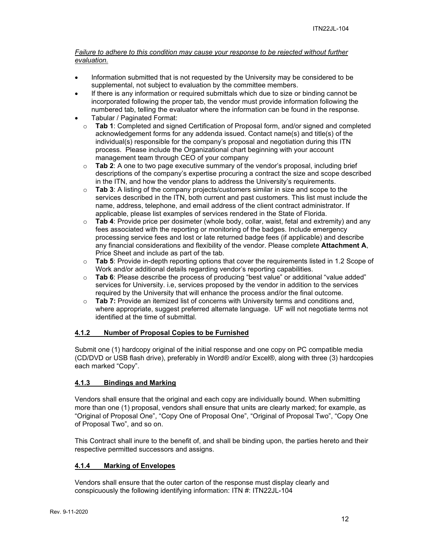#### *Failure to adhere to this condition may cause your response to be rejected without further evaluation.*

- Information submitted that is not requested by the University may be considered to be supplemental, not subject to evaluation by the committee members.
- If there is any information or required submittals which due to size or binding cannot be incorporated following the proper tab, the vendor must provide information following the numbered tab, telling the evaluator where the information can be found in the response.
- Tabular / Paginated Format:
	- o **Tab 1**: Completed and signed Certification of Proposal form, and/or signed and completed acknowledgement forms for any addenda issued. Contact name(s) and title(s) of the individual(s) responsible for the company's proposal and negotiation during this ITN process. Please include the Organizational chart beginning with your account management team through CEO of your company
	- o **Tab 2**: A one to two page executive summary of the vendor's proposal, including brief descriptions of the company's expertise procuring a contract the size and scope described in the ITN, and how the vendor plans to address the University's requirements.
	- o **Tab 3**: A listing of the company projects/customers similar in size and scope to the services described in the ITN, both current and past customers. This list must include the name, address, telephone, and email address of the client contract administrator. If applicable, please list examples of services rendered in the State of Florida.
	- o **Tab 4**: Provide price per dosimeter (whole body, collar, waist, fetal and extremity) and any fees associated with the reporting or monitoring of the badges. Include emergency processing service fees and lost or late returned badge fees (if applicable) and describe any financial considerations and flexibility of the vendor. Please complete **Attachment A**, Price Sheet and include as part of the tab.
	- o **Tab 5**: Provide in-depth reporting options that cover the requirements listed in 1.2 Scope of Work and/or additional details regarding vendor's reporting capabilities.
	- o **Tab 6**: Please describe the process of producing "best value" or additional "value added" services for University. i.e, services proposed by the vendor in addition to the services required by the University that will enhance the process and/or the final outcome.
	- **Tab 7:** Provide an itemized list of concerns with University terms and conditions and, where appropriate, suggest preferred alternate language. UF will not negotiate terms not identified at the time of submittal.

#### <span id="page-11-0"></span>**4.1.2 Number of Proposal Copies to be Furnished**

Submit one (1) hardcopy original of the initial response and one copy on PC compatible media (CD/DVD or USB flash drive), preferably in Word® and/or Excel®, along with three (3) hardcopies each marked "Copy".

#### <span id="page-11-1"></span>**4.1.3 Bindings and Marking**

Vendors shall ensure that the original and each copy are individually bound. When submitting more than one (1) proposal, vendors shall ensure that units are clearly marked; for example, as "Original of Proposal One", "Copy One of Proposal One", "Original of Proposal Two", "Copy One of Proposal Two", and so on.

This Contract shall inure to the benefit of, and shall be binding upon, the parties hereto and their respective permitted successors and assigns.

#### <span id="page-11-2"></span>**4.1.4 Marking of Envelopes**

Vendors shall ensure that the outer carton of the response must display clearly and conspicuously the following identifying information: ITN #: ITN22JL-104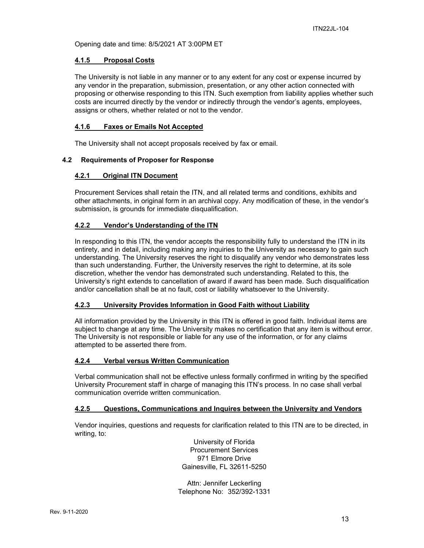Opening date and time: 8/5/2021 AT 3:00PM ET

#### <span id="page-12-0"></span>**4.1.5 Proposal Costs**

The University is not liable in any manner or to any extent for any cost or expense incurred by any vendor in the preparation, submission, presentation, or any other action connected with proposing or otherwise responding to this ITN. Such exemption from liability applies whether such costs are incurred directly by the vendor or indirectly through the vendor's agents, employees, assigns or others, whether related or not to the vendor.

#### <span id="page-12-1"></span>**4.1.6 Faxes or Emails Not Accepted**

The University shall not accept proposals received by fax or email.

#### <span id="page-12-3"></span><span id="page-12-2"></span>**4.2 Requirements of Proposer for Response**

#### **4.2.1 Original ITN Document**

Procurement Services shall retain the ITN, and all related terms and conditions, exhibits and other attachments, in original form in an archival copy. Any modification of these, in the vendor's submission, is grounds for immediate disqualification.

#### <span id="page-12-4"></span>**4.2.2 Vendor's Understanding of the ITN**

In responding to this ITN, the vendor accepts the responsibility fully to understand the ITN in its entirety, and in detail, including making any inquiries to the University as necessary to gain such understanding. The University reserves the right to disqualify any vendor who demonstrates less than such understanding. Further, the University reserves the right to determine, at its sole discretion, whether the vendor has demonstrated such understanding. Related to this, the University's right extends to cancellation of award if award has been made. Such disqualification and/or cancellation shall be at no fault, cost or liability whatsoever to the University.

#### <span id="page-12-5"></span>**4.2.3 University Provides Information in Good Faith without Liability**

All information provided by the University in this ITN is offered in good faith. Individual items are subject to change at any time. The University makes no certification that any item is without error. The University is not responsible or liable for any use of the information, or for any claims attempted to be asserted there from.

#### <span id="page-12-6"></span>**4.2.4 Verbal versus Written Communication**

Verbal communication shall not be effective unless formally confirmed in writing by the specified University Procurement staff in charge of managing this ITN's process. In no case shall verbal communication override written communication.

#### <span id="page-12-7"></span>**4.2.5 Questions, Communications and Inquires between the University and Vendors**

Vendor inquiries, questions and requests for clarification related to this ITN are to be directed, in writing, to:

> University of Florida Procurement Services 971 Elmore Drive Gainesville, FL 32611-5250

Attn: Jennifer Leckerling Telephone No: 352/392-1331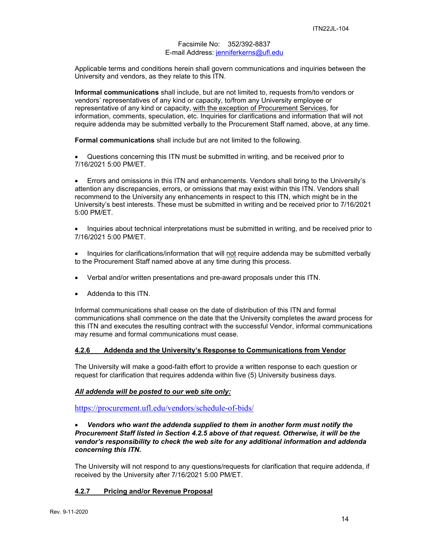#### Facsimile No: 352/392-8837 E-mail Address: [jenniferkerns@ufl.edu](mailto:jenniferkerns@ufl.edu)

Applicable terms and conditions herein shall govern communications and inquiries between the University and vendors, as they relate to this ITN.

**Informal communications** shall include, but are not limited to, requests from/to vendors or vendors' representatives of any kind or capacity, to/from any University employee or representative of any kind or capacity, with the exception of Procurement Services, for information, comments, speculation, etc. Inquiries for clarifications and information that will not require addenda may be submitted verbally to the Procurement Staff named, above, at any time.

**Formal communications** shall include but are not limited to the following.

• Questions concerning this ITN must be submitted in writing, and be received prior to 7/16/2021 5:00 PM/ET.

• Errors and omissions in this ITN and enhancements. Vendors shall bring to the University's attention any discrepancies, errors, or omissions that may exist within this ITN. Vendors shall recommend to the University any enhancements in respect to this ITN, which might be in the University's best interests. These must be submitted in writing and be received prior to 7/16/2021 5:00 PM/ET.

• Inquiries about technical interpretations must be submitted in writing, and be received prior to 7/16/2021 5:00 PM/ET.

• Inquiries for clarifications/information that will not require addenda may be submitted verbally to the Procurement Staff named above at any time during this process.

- Verbal and/or written presentations and pre-award proposals under this ITN.
- Addenda to this ITN.

Informal communications shall cease on the date of distribution of this ITN and formal communications shall commence on the date that the University completes the award process for this ITN and executes the resulting contract with the successful Vendor, informal communications may resume and formal communications must cease.

#### <span id="page-13-0"></span>**4.2.6 Addenda and the University's Response to Communications from Vendor**

The University will make a good-faith effort to provide a written response to each question or request for clarification that requires addenda within five (5) University business days.

#### *All addenda will be posted to our web site only:*

<https://procurement.ufl.edu/vendors/schedule-of-bids/>

#### • *Vendors who want the addenda supplied to them in another form must notify the Procurement Staff listed in Section 4.2.5 above of that request. Otherwise, it will be the vendor's responsibility to check the web site for any additional information and addenda concerning this ITN.*

The University will not respond to any questions/requests for clarification that require addenda, if received by the University after 7/16/2021 5:00 PM/ET.

#### <span id="page-13-1"></span>**4.2.7 Pricing and/or Revenue Proposal**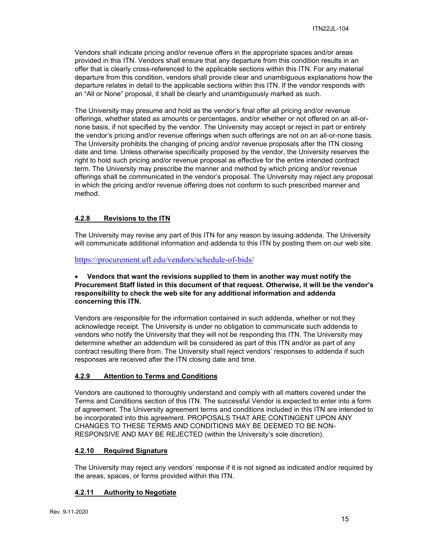Vendors shall indicate pricing and/or revenue offers in the appropriate spaces and/or areas provided in this ITN. Vendors shall ensure that any departure from this condition results in an offer that is clearly cross-referenced to the applicable sections within this ITN. For any material departure from this condition, vendors shall provide clear and unambiguous explanations how the departure relates in detail to the applicable sections within this ITN. If the vendor responds with an "All or None" proposal, it shall be clearly and unambiguously marked as such.

The University may presume and hold as the vendor's final offer all pricing and/or revenue offerings, whether stated as amounts or percentages, and/or whether or not offered on an all-ornone basis, if not specified by the vendor. The University may accept or reject in part or entirely the vendor's pricing and/or revenue offerings when such offerings are not on an all-or-none basis. The University prohibits the changing of pricing and/or revenue proposals after the ITN closing date and time. Unless otherwise specifically proposed by the vendor, the University reserves the right to hold such pricing and/or revenue proposal as effective for the entire intended contract term. The University may prescribe the manner and method by which pricing and/or revenue offerings shall be communicated in the vendor's proposal. The University may reject any proposal in which the pricing and/or revenue offering does not conform to such prescribed manner and method.

#### <span id="page-14-0"></span>**4.2.8 Revisions to the ITN**

The University may revise any part of this ITN for any reason by issuing addenda. The University will communicate additional information and addenda to this ITN by posting them on our web site.

<https://procurement.ufl.edu/vendors/schedule-of-bids/>

#### • **Vendors that want the revisions supplied to them in another way must notify the Procurement Staff listed in this document of that request. Otherwise, it will be the vendor's responsibility to check the web site for any additional information and addenda concerning this ITN.**

Vendors are responsible for the information contained in such addenda, whether or not they acknowledge receipt. The University is under no obligation to communicate such addenda to vendors who notify the University that they will not be responding this ITN. The University may determine whether an addendum will be considered as part of this ITN and/or as part of any contract resulting there from. The University shall reject vendors' responses to addenda if such responses are received after the ITN closing date and time.

#### <span id="page-14-1"></span>**4.2.9 Attention to Terms and Conditions**

Vendors are cautioned to thoroughly understand and comply with all matters covered under the Terms and Conditions section of this ITN. The successful Vendor is expected to enter into a form of agreement. The University agreement terms and conditions included in this ITN are intended to be incorporated into this agreement. PROPOSALS THAT ARE CONTINGENT UPON ANY CHANGES TO THESE TERMS AND CONDITIONS MAY BE DEEMED TO BE NON-RESPONSIVE AND MAY BE REJECTED (within the University's sole discretion).

#### <span id="page-14-2"></span>**4.2.10 Required Signature**

The University may reject any vendors' response if it is not signed as indicated and/or required by the areas, spaces, or forms provided within this ITN.

#### <span id="page-14-3"></span>**4.2.11 Authority to Negotiate**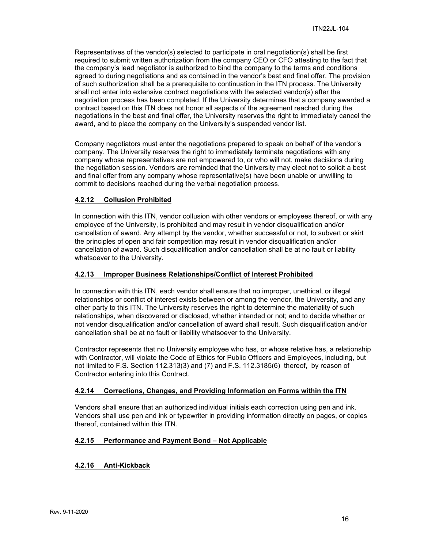Representatives of the vendor(s) selected to participate in oral negotiation(s) shall be first required to submit written authorization from the company CEO or CFO attesting to the fact that the company's lead negotiator is authorized to bind the company to the terms and conditions agreed to during negotiations and as contained in the vendor's best and final offer. The provision of such authorization shall be a prerequisite to continuation in the ITN process. The University shall not enter into extensive contract negotiations with the selected vendor(s) after the negotiation process has been completed. If the University determines that a company awarded a contract based on this ITN does not honor all aspects of the agreement reached during the negotiations in the best and final offer, the University reserves the right to immediately cancel the award, and to place the company on the University's suspended vendor list.

Company negotiators must enter the negotiations prepared to speak on behalf of the vendor's company. The University reserves the right to immediately terminate negotiations with any company whose representatives are not empowered to, or who will not, make decisions during the negotiation session. Vendors are reminded that the University may elect not to solicit a best and final offer from any company whose representative(s) have been unable or unwilling to commit to decisions reached during the verbal negotiation process.

#### <span id="page-15-0"></span>**4.2.12 Collusion Prohibited**

In connection with this ITN, vendor collusion with other vendors or employees thereof, or with any employee of the University, is prohibited and may result in vendor disqualification and/or cancellation of award. Any attempt by the vendor, whether successful or not, to subvert or skirt the principles of open and fair competition may result in vendor disqualification and/or cancellation of award. Such disqualification and/or cancellation shall be at no fault or liability whatsoever to the University.

#### <span id="page-15-1"></span>**4.2.13 Improper Business Relationships/Conflict of Interest Prohibited**

In connection with this ITN, each vendor shall ensure that no improper, unethical, or illegal relationships or conflict of interest exists between or among the vendor, the University, and any other party to this ITN. The University reserves the right to determine the materiality of such relationships, when discovered or disclosed, whether intended or not; and to decide whether or not vendor disqualification and/or cancellation of award shall result. Such disqualification and/or cancellation shall be at no fault or liability whatsoever to the University.

Contractor represents that no University employee who has, or whose relative has, a relationship with Contractor, will violate the Code of Ethics for Public Officers and Employees, including, but not limited to F.S. Section 112.313(3) and (7) and F.S. 112.3185(6) thereof, by reason of Contractor entering into this Contract.

#### <span id="page-15-2"></span>**4.2.14 Corrections, Changes, and Providing Information on Forms within the ITN**

Vendors shall ensure that an authorized individual initials each correction using pen and ink. Vendors shall use pen and ink or typewriter in providing information directly on pages, or copies thereof, contained within this ITN.

#### <span id="page-15-3"></span>**4.2.15 Performance and Payment Bond – Not Applicable**

#### <span id="page-15-4"></span>**4.2.16 Anti-Kickback**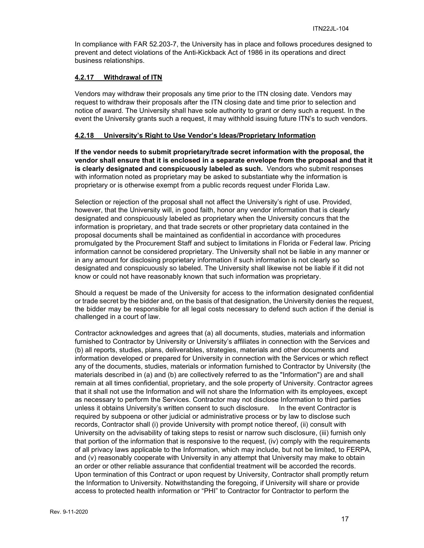In compliance with FAR 52.203-7, the University has in place and follows procedures designed to prevent and detect violations of the Anti-Kickback Act of 1986 in its operations and direct business relationships.

#### <span id="page-16-0"></span>**4.2.17 Withdrawal of ITN**

Vendors may withdraw their proposals any time prior to the ITN closing date. Vendors may request to withdraw their proposals after the ITN closing date and time prior to selection and notice of award. The University shall have sole authority to grant or deny such a request. In the event the University grants such a request, it may withhold issuing future ITN's to such vendors.

#### <span id="page-16-1"></span>**4.2.18 University's Right to Use Vendor's Ideas/Proprietary Information**

**If the vendor needs to submit proprietary/trade secret information with the proposal, the vendor shall ensure that it is enclosed in a separate envelope from the proposal and that it is clearly designated and conspicuously labeled as such.** Vendors who submit responses with information noted as proprietary may be asked to substantiate why the information is proprietary or is otherwise exempt from a public records request under Florida Law.

Selection or rejection of the proposal shall not affect the University's right of use. Provided, however, that the University will, in good faith, honor any vendor information that is clearly designated and conspicuously labeled as proprietary when the University concurs that the information is proprietary, and that trade secrets or other proprietary data contained in the proposal documents shall be maintained as confidential in accordance with procedures promulgated by the Procurement Staff and subject to limitations in Florida or Federal law. Pricing information cannot be considered proprietary. The University shall not be liable in any manner or in any amount for disclosing proprietary information if such information is not clearly so designated and conspicuously so labeled. The University shall likewise not be liable if it did not know or could not have reasonably known that such information was proprietary.

Should a request be made of the University for access to the information designated confidential or trade secret by the bidder and, on the basis of that designation, the University denies the request, the bidder may be responsible for all legal costs necessary to defend such action if the denial is challenged in a court of law.

Contractor acknowledges and agrees that (a) all documents, studies, materials and information furnished to Contractor by University or University's affiliates in connection with the Services and (b) all reports, studies, plans, deliverables, strategies, materials and other documents and information developed or prepared for University in connection with the Services or which reflect any of the documents, studies, materials or information furnished to Contractor by University (the materials described in (a) and (b) are collectively referred to as the "Information") are and shall remain at all times confidential, proprietary, and the sole property of University. Contractor agrees that it shall not use the Information and will not share the Information with its employees, except as necessary to perform the Services. Contractor may not disclose Information to third parties unless it obtains University's written consent to such disclosure. In the event Contractor is required by subpoena or other judicial or administrative process or by law to disclose such records, Contractor shall (i) provide University with prompt notice thereof, (ii) consult with University on the advisability of taking steps to resist or narrow such disclosure, (iii) furnish only that portion of the information that is responsive to the request, (iv) comply with the requirements of all privacy laws applicable to the Information, which may include, but not be limited, to FERPA, and (v) reasonably cooperate with University in any attempt that University may make to obtain an order or other reliable assurance that confidential treatment will be accorded the records. Upon termination of this Contract or upon request by University, Contractor shall promptly return the Information to University. Notwithstanding the foregoing, if University will share or provide access to protected health information or "PHI" to Contractor for Contractor to perform the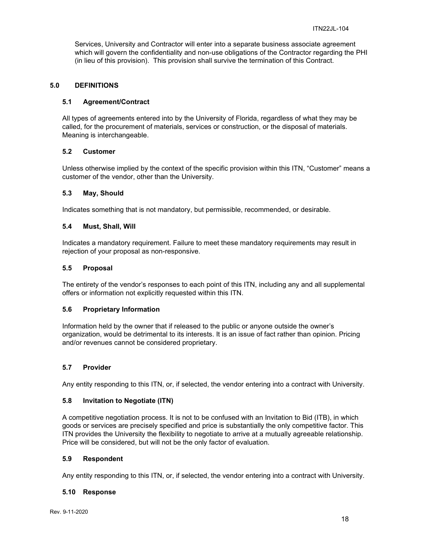Services, University and Contractor will enter into a separate business associate agreement which will govern the confidentiality and non-use obligations of the Contractor regarding the PHI (in lieu of this provision). This provision shall survive the termination of this Contract.

#### <span id="page-17-0"></span>**5.0 DEFINITIONS**

#### <span id="page-17-1"></span>**5.1 Agreement/Contract**

All types of agreements entered into by the University of Florida, regardless of what they may be called, for the procurement of materials, services or construction, or the disposal of materials. Meaning is interchangeable.

#### <span id="page-17-2"></span>**5.2 Customer**

Unless otherwise implied by the context of the specific provision within this ITN, "Customer" means a customer of the vendor, other than the University.

#### <span id="page-17-3"></span>**5.3 May, Should**

Indicates something that is not mandatory, but permissible, recommended, or desirable.

#### <span id="page-17-4"></span>**5.4 Must, Shall, Will**

Indicates a mandatory requirement. Failure to meet these mandatory requirements may result in rejection of your proposal as non-responsive.

#### <span id="page-17-5"></span>**5.5 Proposal**

The entirety of the vendor's responses to each point of this ITN, including any and all supplemental offers or information not explicitly requested within this ITN.

#### <span id="page-17-6"></span>**5.6 Proprietary Information**

Information held by the owner that if released to the public or anyone outside the owner's organization, would be detrimental to its interests. It is an issue of fact rather than opinion. Pricing and/or revenues cannot be considered proprietary.

#### <span id="page-17-7"></span>**5.7 Provider**

Any entity responding to this ITN, or, if selected, the vendor entering into a contract with University.

#### <span id="page-17-8"></span>**5.8 Invitation to Negotiate (ITN)**

A competitive negotiation process. It is not to be confused with an Invitation to Bid (ITB), in which goods or services are precisely specified and price is substantially the only competitive factor. This ITN provides the University the flexibility to negotiate to arrive at a mutually agreeable relationship. Price will be considered, but will not be the only factor of evaluation.

#### <span id="page-17-9"></span>**5.9 Respondent**

Any entity responding to this ITN, or, if selected, the vendor entering into a contract with University.

#### <span id="page-17-10"></span>**5.10 Response**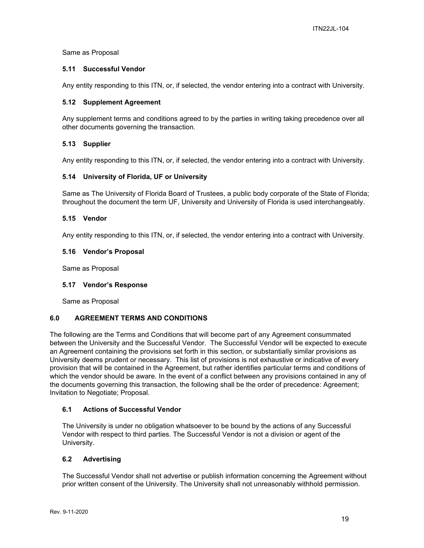#### Same as Proposal

#### <span id="page-18-0"></span>**5.11 Successful Vendor**

Any entity responding to this ITN, or, if selected, the vendor entering into a contract with University.

#### <span id="page-18-1"></span>**5.12 Supplement Agreement**

Any supplement terms and conditions agreed to by the parties in writing taking precedence over all other documents governing the transaction.

#### <span id="page-18-2"></span>**5.13 Supplier**

Any entity responding to this ITN, or, if selected, the vendor entering into a contract with University.

#### <span id="page-18-3"></span>**5.14 University of Florida, UF or University**

Same as The University of Florida Board of Trustees, a public body corporate of the State of Florida; throughout the document the term UF, University and University of Florida is used interchangeably.

#### <span id="page-18-4"></span>**5.15 Vendor**

Any entity responding to this ITN, or, if selected, the vendor entering into a contract with University.

#### <span id="page-18-5"></span>**5.16 Vendor's Proposal**

Same as Proposal

#### <span id="page-18-6"></span>**5.17 Vendor's Response**

Same as Proposal

#### <span id="page-18-7"></span>**6.0 AGREEMENT TERMS AND CONDITIONS**

The following are the Terms and Conditions that will become part of any Agreement consummated between the University and the Successful Vendor. The Successful Vendor will be expected to execute an Agreement containing the provisions set forth in this section, or substantially similar provisions as University deems prudent or necessary. This list of provisions is not exhaustive or indicative of every provision that will be contained in the Agreement, but rather identifies particular terms and conditions of which the vendor should be aware. In the event of a conflict between any provisions contained in any of the documents governing this transaction, the following shall be the order of precedence: Agreement; Invitation to Negotiate; Proposal.

#### <span id="page-18-8"></span>**6.1 Actions of Successful Vendor**

The University is under no obligation whatsoever to be bound by the actions of any Successful Vendor with respect to third parties. The Successful Vendor is not a division or agent of the University.

#### <span id="page-18-9"></span>**6.2 Advertising**

The Successful Vendor shall not advertise or publish information concerning the Agreement without prior written consent of the University. The University shall not unreasonably withhold permission.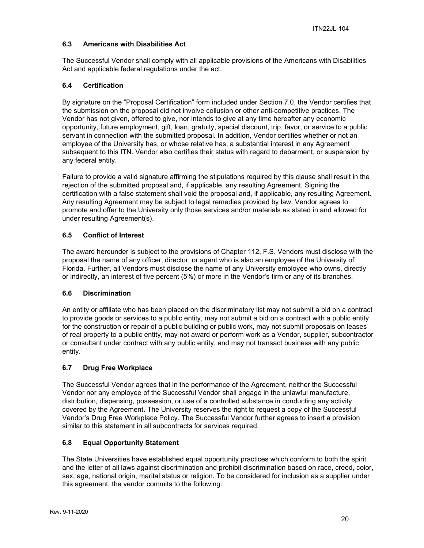#### <span id="page-19-0"></span>**6.3 Americans with Disabilities Act**

The Successful Vendor shall comply with all applicable provisions of the Americans with Disabilities Act and applicable federal regulations under the act.

#### <span id="page-19-1"></span>**6.4 Certification**

By signature on the "Proposal Certification" form included under Section 7.0, the Vendor certifies that the submission on the proposal did not involve collusion or other anti-competitive practices. The Vendor has not given, offered to give, nor intends to give at any time hereafter any economic opportunity, future employment, gift, loan, gratuity, special discount, trip, favor, or service to a public servant in connection with the submitted proposal. In addition, Vendor certifies whether or not an employee of the University has, or whose relative has, a substantial interest in any Agreement subsequent to this ITN. Vendor also certifies their status with regard to debarment, or suspension by any federal entity.

Failure to provide a valid signature affirming the stipulations required by this clause shall result in the rejection of the submitted proposal and, if applicable, any resulting Agreement. Signing the certification with a false statement shall void the proposal and, if applicable, any resulting Agreement. Any resulting Agreement may be subject to legal remedies provided by law. Vendor agrees to promote and offer to the University only those services and/or materials as stated in and allowed for under resulting Agreement(s).

#### <span id="page-19-2"></span>**6.5 Conflict of Interest**

The award hereunder is subject to the provisions of Chapter 112, F.S. Vendors must disclose with the proposal the name of any officer, director, or agent who is also an employee of the University of Florida. Further, all Vendors must disclose the name of any University employee who owns, directly or indirectly, an interest of five percent (5%) or more in the Vendor's firm or any of its branches.

#### <span id="page-19-3"></span>**6.6 Discrimination**

An entity or affiliate who has been placed on the discriminatory list may not submit a bid on a contract to provide goods or services to a public entity, may not submit a bid on a contract with a public entity for the construction or repair of a public building or public work, may not submit proposals on leases of real property to a public entity, may not award or perform work as a Vendor, supplier, subcontractor or consultant under contract with any public entity, and may not transact business with any public entity.

#### <span id="page-19-4"></span>**6.7 Drug Free Workplace**

The Successful Vendor agrees that in the performance of the Agreement, neither the Successful Vendor nor any employee of the Successful Vendor shall engage in the unlawful manufacture, distribution, dispensing, possession, or use of a controlled substance in conducting any activity covered by the Agreement. The University reserves the right to request a copy of the Successful Vendor's Drug Free Workplace Policy. The Successful Vendor further agrees to insert a provision similar to this statement in all subcontracts for services required.

#### <span id="page-19-5"></span>**6.8 Equal Opportunity Statement**

The State Universities have established equal opportunity practices which conform to both the spirit and the letter of all laws against discrimination and prohibit discrimination based on race, creed, color, sex, age, national origin, marital status or religion. To be considered for inclusion as a supplier under this agreement, the vendor commits to the following: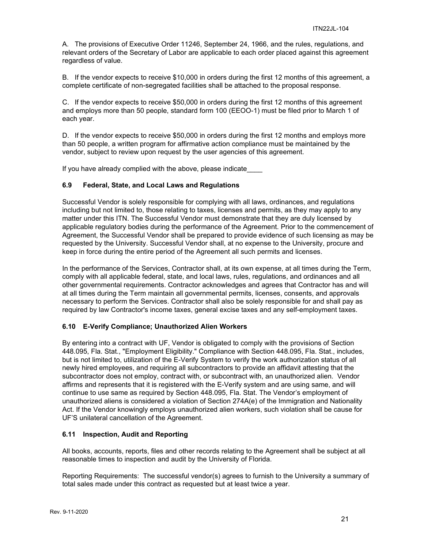A. The provisions of Executive Order 11246, September 24, 1966, and the rules, regulations, and relevant orders of the Secretary of Labor are applicable to each order placed against this agreement regardless of value.

B. If the vendor expects to receive \$10,000 in orders during the first 12 months of this agreement, a complete certificate of non-segregated facilities shall be attached to the proposal response.

C. If the vendor expects to receive \$50,000 in orders during the first 12 months of this agreement and employs more than 50 people, standard form 100 (EEOO-1) must be filed prior to March 1 of each year.

D. If the vendor expects to receive \$50,000 in orders during the first 12 months and employs more than 50 people, a written program for affirmative action compliance must be maintained by the vendor, subject to review upon request by the user agencies of this agreement.

If you have already complied with the above, please indicate

#### <span id="page-20-0"></span>**6.9 Federal, State, and Local Laws and Regulations**

Successful Vendor is solely responsible for complying with all laws, ordinances, and regulations including but not limited to, those relating to taxes, licenses and permits, as they may apply to any matter under this ITN. The Successful Vendor must demonstrate that they are duly licensed by applicable regulatory bodies during the performance of the Agreement. Prior to the commencement of Agreement, the Successful Vendor shall be prepared to provide evidence of such licensing as may be requested by the University. Successful Vendor shall, at no expense to the University, procure and keep in force during the entire period of the Agreement all such permits and licenses.

In the performance of the Services, Contractor shall, at its own expense, at all times during the Term, comply with all applicable federal, state, and local laws, rules, regulations, and ordinances and all other governmental requirements. Contractor acknowledges and agrees that Contractor has and will at all times during the Term maintain all governmental permits, licenses, consents, and approvals necessary to perform the Services. Contractor shall also be solely responsible for and shall pay as required by law Contractor's income taxes, general excise taxes and any self-employment taxes.

#### <span id="page-20-1"></span>**6.10 E-Verify Compliance; Unauthorized Alien Workers**

By entering into a contract with UF, Vendor is obligated to comply with the provisions of Section 448.095, Fla. Stat., "Employment Eligibility." Compliance with Section 448.095, Fla. Stat., includes, but is not limited to, utilization of the E-Verify System to verify the work authorization status of all newly hired employees, and requiring all subcontractors to provide an affidavit attesting that the subcontractor does not employ, contract with, or subcontract with, an unauthorized alien. Vendor affirms and represents that it is registered with the E-Verify system and are using same, and will continue to use same as required by Section 448.095, Fla. Stat. The Vendor's employment of unauthorized aliens is considered a violation of Section 274A(e) of the Immigration and Nationality Act. If the Vendor knowingly employs unauthorized alien workers, such violation shall be cause for UF'S unilateral cancellation of the Agreement.

#### <span id="page-20-2"></span>**6.11 Inspection, Audit and Reporting**

All books, accounts, reports, files and other records relating to the Agreement shall be subject at all reasonable times to inspection and audit by the University of Florida.

Reporting Requirements: The successful vendor(s) agrees to furnish to the University a summary of total sales made under this contract as requested but at least twice a year.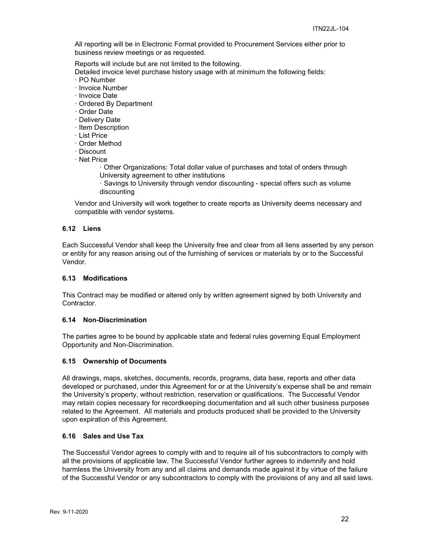All reporting will be in Electronic Format provided to Procurement Services either prior to business review meetings or as requested.

Reports will include but are not limited to the following.

Detailed invoice level purchase history usage with at minimum the following fields:

- · PO Number
- · Invoice Number
- · Invoice Date
- · Ordered By Department
- · Order Date
- · Delivery Date
- · Item Description
- · List Price
- · Order Method
- · Discount
- · Net Price
	- · Other Organizations: Total dollar value of purchases and total of orders through University agreement to other institutions
	- · Savings to University through vendor discounting special offers such as volume discounting

Vendor and University will work together to create reports as University deems necessary and compatible with vendor systems.

#### <span id="page-21-0"></span>**6.12 Liens**

Each Successful Vendor shall keep the University free and clear from all liens asserted by any person or entity for any reason arising out of the furnishing of services or materials by or to the Successful Vendor.

#### <span id="page-21-1"></span>**6.13 Modifications**

This Contract may be modified or altered only by written agreement signed by both University and Contractor.

#### <span id="page-21-2"></span>**6.14 Non-Discrimination**

The parties agree to be bound by applicable state and federal rules governing Equal Employment Opportunity and Non-Discrimination.

#### <span id="page-21-3"></span>**6.15 Ownership of Documents**

All drawings, maps, sketches, documents, records, programs, data base, reports and other data developed or purchased, under this Agreement for or at the University's expense shall be and remain the University's property, without restriction, reservation or qualifications. The Successful Vendor may retain copies necessary for recordkeeping documentation and all such other business purposes related to the Agreement. All materials and products produced shall be provided to the University upon expiration of this Agreement.

#### <span id="page-21-4"></span>**6.16 Sales and Use Tax**

The Successful Vendor agrees to comply with and to require all of his subcontractors to comply with all the provisions of applicable law. The Successful Vendor further agrees to indemnify and hold harmless the University from any and all claims and demands made against it by virtue of the failure of the Successful Vendor or any subcontractors to comply with the provisions of any and all said laws.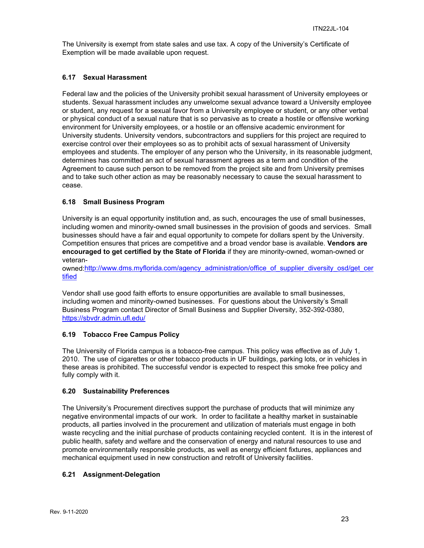The University is exempt from state sales and use tax. A copy of the University's Certificate of Exemption will be made available upon request.

#### <span id="page-22-0"></span>**6.17 Sexual Harassment**

Federal law and the policies of the University prohibit sexual harassment of University employees or students. Sexual harassment includes any unwelcome sexual advance toward a University employee or student, any request for a sexual favor from a University employee or student, or any other verbal or physical conduct of a sexual nature that is so pervasive as to create a hostile or offensive working environment for University employees, or a hostile or an offensive academic environment for University students. University vendors, subcontractors and suppliers for this project are required to exercise control over their employees so as to prohibit acts of sexual harassment of University employees and students. The employer of any person who the University, in its reasonable judgment, determines has committed an act of sexual harassment agrees as a term and condition of the Agreement to cause such person to be removed from the project site and from University premises and to take such other action as may be reasonably necessary to cause the sexual harassment to cease.

#### <span id="page-22-1"></span>**6.18 Small Business Program**

University is an equal opportunity institution and, as such, encourages the use of small businesses, including women and minority-owned small businesses in the provision of goods and services. Small businesses should have a fair and equal opportunity to compete for dollars spent by the University. Competition ensures that prices are competitive and a broad vendor base is available. **Vendors are encouraged to get certified by the State of Florida** if they are minority-owned, woman-owned or veteran-

owned[:http://www.dms.myflorida.com/agency\\_administration/office\\_of\\_supplier\\_diversity\\_osd/get\\_cer](http://www.dms.myflorida.com/agency_administration/office_of_supplier_diversity_osd/get_certified) [tified](http://www.dms.myflorida.com/agency_administration/office_of_supplier_diversity_osd/get_certified)

Vendor shall use good faith efforts to ensure opportunities are available to small businesses, including women and minority-owned businesses. For questions about the University's Small Business Program contact Director of Small Business and Supplier Diversity, 352-392-0380, <https://sbvdr.admin.ufl.edu/>

#### <span id="page-22-2"></span>**6.19 Tobacco Free Campus Policy**

The University of Florida campus is a tobacco-free campus. This policy was effective as of July 1, 2010. The use of cigarettes or other tobacco products in UF buildings, parking lots, or in vehicles in these areas is prohibited. The successful vendor is expected to respect this smoke free policy and fully comply with it.

#### <span id="page-22-3"></span>**6.20 Sustainability Preferences**

The University's Procurement directives support the purchase of products that will minimize any negative environmental impacts of our work. In order to facilitate a healthy market in sustainable products, all parties involved in the procurement and utilization of materials must engage in both waste recycling and the initial purchase of products containing recycled content. It is in the interest of public health, safety and welfare and the conservation of energy and natural resources to use and promote environmentally responsible products, as well as energy efficient fixtures, appliances and mechanical equipment used in new construction and retrofit of University facilities.

#### <span id="page-22-4"></span>**6.21 Assignment-Delegation**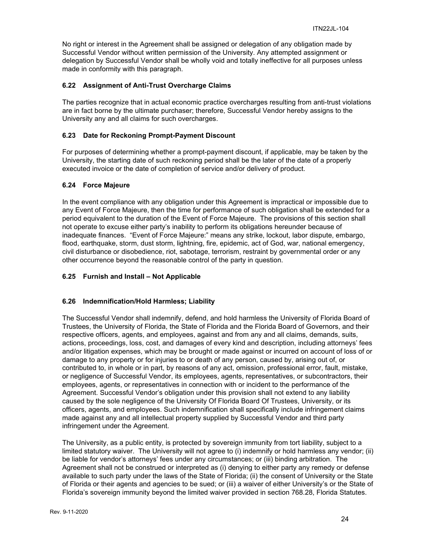No right or interest in the Agreement shall be assigned or delegation of any obligation made by Successful Vendor without written permission of the University. Any attempted assignment or delegation by Successful Vendor shall be wholly void and totally ineffective for all purposes unless made in conformity with this paragraph.

#### <span id="page-23-0"></span>**6.22 Assignment of Anti-Trust Overcharge Claims**

The parties recognize that in actual economic practice overcharges resulting from anti-trust violations are in fact borne by the ultimate purchaser; therefore, Successful Vendor hereby assigns to the University any and all claims for such overcharges.

#### <span id="page-23-1"></span>**6.23 Date for Reckoning Prompt-Payment Discount**

For purposes of determining whether a prompt-payment discount, if applicable, may be taken by the University, the starting date of such reckoning period shall be the later of the date of a properly executed invoice or the date of completion of service and/or delivery of product.

#### <span id="page-23-2"></span>**6.24 Force Majeure**

In the event compliance with any obligation under this Agreement is impractical or impossible due to any Event of Force Majeure, then the time for performance of such obligation shall be extended for a period equivalent to the duration of the Event of Force Majeure. The provisions of this section shall not operate to excuse either party's inability to perform its obligations hereunder because of inadequate finances. "Event of Force Majeure:" means any strike, lockout, labor dispute, embargo, flood, earthquake, storm, dust storm, lightning, fire, epidemic, act of God, war, national emergency, civil disturbance or disobedience, riot, sabotage, terrorism, restraint by governmental order or any other occurrence beyond the reasonable control of the party in question.

#### <span id="page-23-3"></span>**6.25 Furnish and Install – Not Applicable**

#### <span id="page-23-4"></span>**6.26 Indemnification/Hold Harmless; Liability**

The Successful Vendor shall indemnify, defend, and hold harmless the University of Florida Board of Trustees, the University of Florida, the State of Florida and the Florida Board of Governors, and their respective officers, agents, and employees, against and from any and all claims, demands, suits, actions, proceedings, loss, cost, and damages of every kind and description, including attorneys' fees and/or litigation expenses, which may be brought or made against or incurred on account of loss of or damage to any property or for injuries to or death of any person, caused by, arising out of, or contributed to, in whole or in part, by reasons of any act, omission, professional error, fault, mistake, or negligence of Successful Vendor, its employees, agents, representatives, or subcontractors, their employees, agents, or representatives in connection with or incident to the performance of the Agreement. Successful Vendor's obligation under this provision shall not extend to any liability caused by the sole negligence of the University Of Florida Board Of Trustees, University, or its officers, agents, and employees. Such indemnification shall specifically include infringement claims made against any and all intellectual property supplied by Successful Vendor and third party infringement under the Agreement.

The University, as a public entity, is protected by sovereign immunity from tort liability, subject to a limited statutory waiver. The University will not agree to (i) indemnify or hold harmless any vendor; (ii) be liable for vendor's attorneys' fees under any circumstances; or (iii) binding arbitration. The Agreement shall not be construed or interpreted as (i) denying to either party any remedy or defense available to such party under the laws of the State of Florida; (ii) the consent of University or the State of Florida or their agents and agencies to be sued; or (iii) a waiver of either University's or the State of Florida's sovereign immunity beyond the limited waiver provided in section 768.28, Florida Statutes.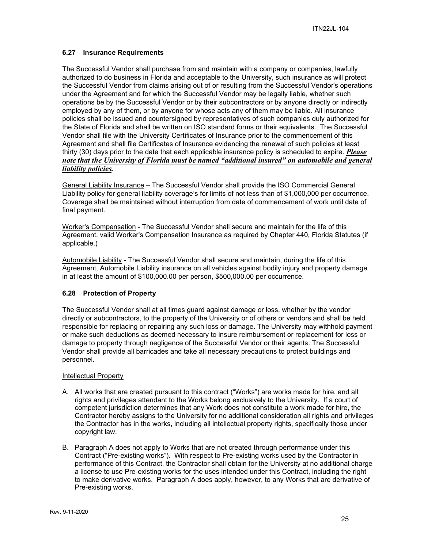#### <span id="page-24-0"></span>**6.27 Insurance Requirements**

The Successful Vendor shall purchase from and maintain with a company or companies, lawfully authorized to do business in Florida and acceptable to the University, such insurance as will protect the Successful Vendor from claims arising out of or resulting from the Successful Vendor's operations under the Agreement and for which the Successful Vendor may be legally liable, whether such operations be by the Successful Vendor or by their subcontractors or by anyone directly or indirectly employed by any of them, or by anyone for whose acts any of them may be liable. All insurance policies shall be issued and countersigned by representatives of such companies duly authorized for the State of Florida and shall be written on ISO standard forms or their equivalents. The Successful Vendor shall file with the University Certificates of Insurance prior to the commencement of this Agreement and shall file Certificates of Insurance evidencing the renewal of such policies at least thirty (30) days prior to the date that each applicable insurance policy is scheduled to expire. *Please note that the University of Florida must be named "additional insured" on automobile and general liability policies.*

General Liability Insurance – The Successful Vendor shall provide the ISO Commercial General Liability policy for general liability coverage's for limits of not less than of \$1,000,000 per occurrence. Coverage shall be maintained without interruption from date of commencement of work until date of final payment.

Worker's Compensation - The Successful Vendor shall secure and maintain for the life of this Agreement, valid Worker's Compensation Insurance as required by Chapter 440, Florida Statutes (if applicable.)

Automobile Liability - The Successful Vendor shall secure and maintain, during the life of this Agreement, Automobile Liability insurance on all vehicles against bodily injury and property damage in at least the amount of \$100,000.00 per person, \$500,000.00 per occurrence.

#### <span id="page-24-1"></span>**6.28 Protection of Property**

The Successful Vendor shall at all times guard against damage or loss, whether by the vendor directly or subcontractors, to the property of the University or of others or vendors and shall be held responsible for replacing or repairing any such loss or damage. The University may withhold payment or make such deductions as deemed necessary to insure reimbursement or replacement for loss or damage to property through negligence of the Successful Vendor or their agents. The Successful Vendor shall provide all barricades and take all necessary precautions to protect buildings and personnel.

#### Intellectual Property

- A. All works that are created pursuant to this contract ("Works") are works made for hire, and all rights and privileges attendant to the Works belong exclusively to the University. If a court of competent jurisdiction determines that any Work does not constitute a work made for hire, the Contractor hereby assigns to the University for no additional consideration all rights and privileges the Contractor has in the works, including all intellectual property rights, specifically those under copyright law.
- B. Paragraph A does not apply to Works that are not created through performance under this Contract ("Pre-existing works"). With respect to Pre-existing works used by the Contractor in performance of this Contract, the Contractor shall obtain for the University at no additional charge a license to use Pre-existing works for the uses intended under this Contract, including the right to make derivative works. Paragraph A does apply, however, to any Works that are derivative of Pre-existing works.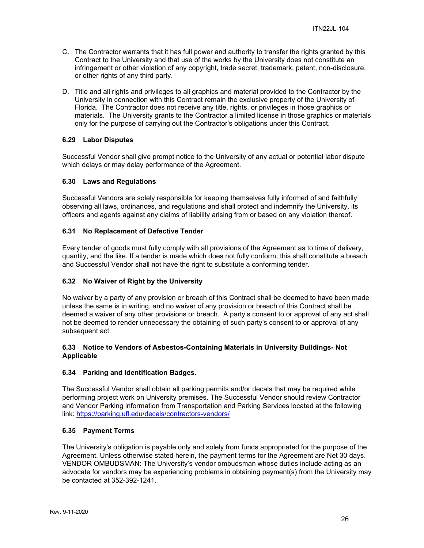- C. The Contractor warrants that it has full power and authority to transfer the rights granted by this Contract to the University and that use of the works by the University does not constitute an infringement or other violation of any copyright, trade secret, trademark, patent, non-disclosure, or other rights of any third party.
- D. Title and all rights and privileges to all graphics and material provided to the Contractor by the University in connection with this Contract remain the exclusive property of the University of Florida. The Contractor does not receive any title, rights, or privileges in those graphics or materials. The University grants to the Contractor a limited license in those graphics or materials only for the purpose of carrying out the Contractor's obligations under this Contract.

#### <span id="page-25-0"></span>**6.29 Labor Disputes**

Successful Vendor shall give prompt notice to the University of any actual or potential labor dispute which delays or may delay performance of the Agreement.

#### <span id="page-25-1"></span>**6.30 Laws and Regulations**

Successful Vendors are solely responsible for keeping themselves fully informed of and faithfully observing all laws, ordinances, and regulations and shall protect and indemnify the University, its officers and agents against any claims of liability arising from or based on any violation thereof.

#### <span id="page-25-2"></span>**6.31 No Replacement of Defective Tender**

Every tender of goods must fully comply with all provisions of the Agreement as to time of delivery, quantity, and the like. If a tender is made which does not fully conform, this shall constitute a breach and Successful Vendor shall not have the right to substitute a conforming tender.

#### <span id="page-25-3"></span>**6.32 No Waiver of Right by the University**

No waiver by a party of any provision or breach of this Contract shall be deemed to have been made unless the same is in writing, and no waiver of any provision or breach of this Contract shall be deemed a waiver of any other provisions or breach. A party's consent to or approval of any act shall not be deemed to render unnecessary the obtaining of such party's consent to or approval of any subsequent act.

#### <span id="page-25-4"></span>**6.33 Notice to Vendors of Asbestos-Containing Materials in University Buildings- Not Applicable**

#### <span id="page-25-5"></span>**6.34 Parking and Identification Badges.**

The Successful Vendor shall obtain all parking permits and/or decals that may be required while performing project work on University premises. The Successful Vendor should review Contractor and Vendor Parking information from Transportation and Parking Services located at the following link:<https://parking.ufl.edu/decals/contractors-vendors/>

#### <span id="page-25-6"></span>**6.35 Payment Terms**

The University's obligation is payable only and solely from funds appropriated for the purpose of the Agreement. Unless otherwise stated herein, the payment terms for the Agreement are Net 30 days. VENDOR OMBUDSMAN: The University's vendor ombudsman whose duties include acting as an advocate for vendors may be experiencing problems in obtaining payment(s) from the University may be contacted at 352-392-1241.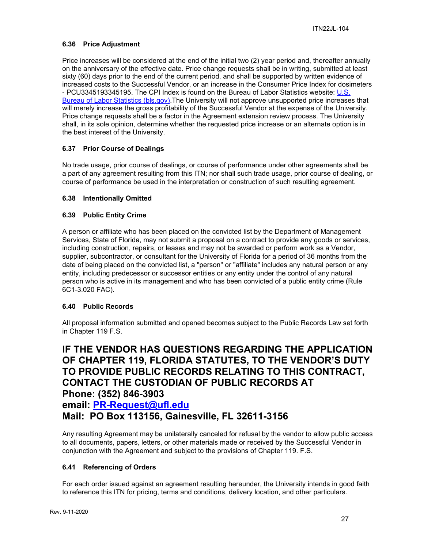#### <span id="page-26-0"></span>**6.36 Price Adjustment**

Price increases will be considered at the end of the initial two (2) year period and, thereafter annually on the anniversary of the effective date. Price change requests shall be in writing, submitted at least sixty (60) days prior to the end of the current period, and shall be supported by written evidence of increased costs to the Successful Vendor, or an increase in the Consumer Price Index for dosimeters - PCU3345193345195. The CPI Index is found on the Bureau of Labor Statistics website: [U.S.](https://www.bls.gov/)  [Bureau of Labor Statistics \(bls.gov\).](https://www.bls.gov/)The University will not approve unsupported price increases that will merely increase the gross profitability of the Successful Vendor at the expense of the University. Price change requests shall be a factor in the Agreement extension review process. The University shall, in its sole opinion, determine whether the requested price increase or an alternate option is in the best interest of the University.

#### <span id="page-26-1"></span>**6.37 Prior Course of Dealings**

No trade usage, prior course of dealings, or course of performance under other agreements shall be a part of any agreement resulting from this ITN; nor shall such trade usage, prior course of dealing, or course of performance be used in the interpretation or construction of such resulting agreement.

#### <span id="page-26-2"></span>**6.38 Intentionally Omitted**

#### <span id="page-26-3"></span>**6.39 Public Entity Crime**

A person or affiliate who has been placed on the convicted list by the Department of Management Services, State of Florida, may not submit a proposal on a contract to provide any goods or services, including construction, repairs, or leases and may not be awarded or perform work as a Vendor, supplier, subcontractor, or consultant for the University of Florida for a period of 36 months from the date of being placed on the convicted list, a "person" or "affiliate" includes any natural person or any entity, including predecessor or successor entities or any entity under the control of any natural person who is active in its management and who has been convicted of a public entity crime (Rule 6C1-3.020 FAC).

#### <span id="page-26-4"></span>**6.40 Public Records**

All proposal information submitted and opened becomes subject to the Public Records Law set forth in Chapter 119 F.S.

## **IF THE VENDOR HAS QUESTIONS REGARDING THE APPLICATION OF CHAPTER 119, FLORIDA STATUTES, TO THE VENDOR'S DUTY TO PROVIDE PUBLIC RECORDS RELATING TO THIS CONTRACT, CONTACT THE CUSTODIAN OF PUBLIC RECORDS AT Phone: (352) 846-3903**

### **email: [PR-Request@ufl.edu](mailto:PR-Request@ufl.edu) Mail: PO Box 113156, Gainesville, FL 32611-3156**

Any resulting Agreement may be unilaterally canceled for refusal by the vendor to allow public access to all documents, papers, letters, or other materials made or received by the Successful Vendor in conjunction with the Agreement and subject to the provisions of Chapter 119. F.S.

#### <span id="page-26-5"></span>**6.41 Referencing of Orders**

For each order issued against an agreement resulting hereunder, the University intends in good faith to reference this ITN for pricing, terms and conditions, delivery location, and other particulars.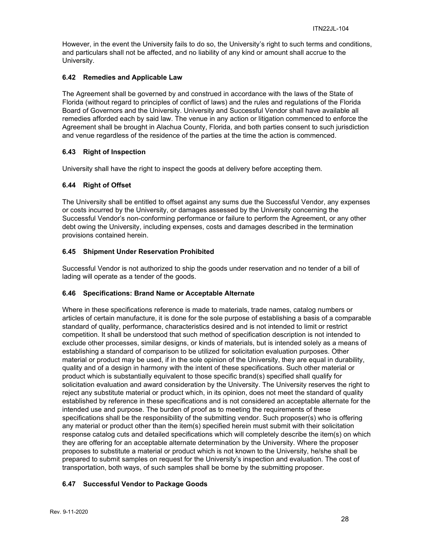However, in the event the University fails to do so, the University's right to such terms and conditions, and particulars shall not be affected, and no liability of any kind or amount shall accrue to the University.

#### <span id="page-27-0"></span>**6.42 Remedies and Applicable Law**

The Agreement shall be governed by and construed in accordance with the laws of the State of Florida (without regard to principles of conflict of laws) and the rules and regulations of the Florida Board of Governors and the University. University and Successful Vendor shall have available all remedies afforded each by said law. The venue in any action or litigation commenced to enforce the Agreement shall be brought in Alachua County, Florida, and both parties consent to such jurisdiction and venue regardless of the residence of the parties at the time the action is commenced.

#### <span id="page-27-1"></span>**6.43 Right of Inspection**

University shall have the right to inspect the goods at delivery before accepting them.

#### <span id="page-27-2"></span>**6.44 Right of Offset**

The University shall be entitled to offset against any sums due the Successful Vendor, any expenses or costs incurred by the University, or damages assessed by the University concerning the Successful Vendor's non-conforming performance or failure to perform the Agreement, or any other debt owing the University, including expenses, costs and damages described in the termination provisions contained herein.

#### <span id="page-27-3"></span>**6.45 Shipment Under Reservation Prohibited**

Successful Vendor is not authorized to ship the goods under reservation and no tender of a bill of lading will operate as a tender of the goods.

#### <span id="page-27-4"></span>**6.46 Specifications: Brand Name or Acceptable Alternate**

Where in these specifications reference is made to materials, trade names, catalog numbers or articles of certain manufacture, it is done for the sole purpose of establishing a basis of a comparable standard of quality, performance, characteristics desired and is not intended to limit or restrict competition. It shall be understood that such method of specification description is not intended to exclude other processes, similar designs, or kinds of materials, but is intended solely as a means of establishing a standard of comparison to be utilized for solicitation evaluation purposes. Other material or product may be used, if in the sole opinion of the University, they are equal in durability, quality and of a design in harmony with the intent of these specifications. Such other material or product which is substantially equivalent to those specific brand(s) specified shall qualify for solicitation evaluation and award consideration by the University. The University reserves the right to reject any substitute material or product which, in its opinion, does not meet the standard of quality established by reference in these specifications and is not considered an acceptable alternate for the intended use and purpose. The burden of proof as to meeting the requirements of these specifications shall be the responsibility of the submitting vendor. Such proposer(s) who is offering any material or product other than the item(s) specified herein must submit with their solicitation response catalog cuts and detailed specifications which will completely describe the item(s) on which they are offering for an acceptable alternate determination by the University. Where the proposer proposes to substitute a material or product which is not known to the University, he/she shall be prepared to submit samples on request for the University's inspection and evaluation. The cost of transportation, both ways, of such samples shall be borne by the submitting proposer.

#### <span id="page-27-5"></span>**6.47 Successful Vendor to Package Goods**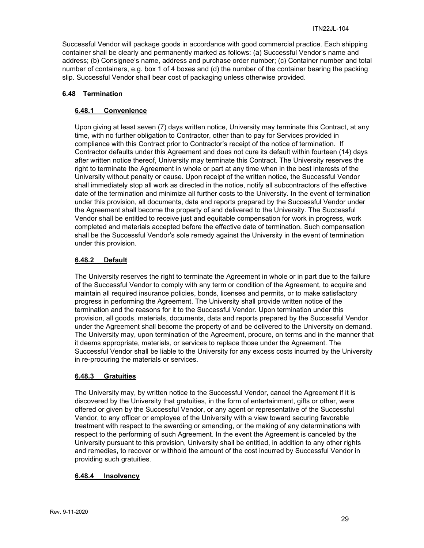Successful Vendor will package goods in accordance with good commercial practice. Each shipping container shall be clearly and permanently marked as follows: (a) Successful Vendor's name and address; (b) Consignee's name, address and purchase order number; (c) Container number and total number of containers, e.g. box 1 of 4 boxes and (d) the number of the container bearing the packing slip. Successful Vendor shall bear cost of packaging unless otherwise provided.

#### <span id="page-28-1"></span><span id="page-28-0"></span>**6.48 Termination**

#### **6.48.1 Convenience**

Upon giving at least seven (7) days written notice, University may terminate this Contract, at any time, with no further obligation to Contractor, other than to pay for Services provided in compliance with this Contract prior to Contractor's receipt of the notice of termination. If Contractor defaults under this Agreement and does not cure its default within fourteen (14) days after written notice thereof, University may terminate this Contract. The University reserves the right to terminate the Agreement in whole or part at any time when in the best interests of the University without penalty or cause. Upon receipt of the written notice, the Successful Vendor shall immediately stop all work as directed in the notice, notify all subcontractors of the effective date of the termination and minimize all further costs to the University. In the event of termination under this provision, all documents, data and reports prepared by the Successful Vendor under the Agreement shall become the property of and delivered to the University. The Successful Vendor shall be entitled to receive just and equitable compensation for work in progress, work completed and materials accepted before the effective date of termination. Such compensation shall be the Successful Vendor's sole remedy against the University in the event of termination under this provision.

#### <span id="page-28-2"></span>**6.48.2 Default**

The University reserves the right to terminate the Agreement in whole or in part due to the failure of the Successful Vendor to comply with any term or condition of the Agreement, to acquire and maintain all required insurance policies, bonds, licenses and permits, or to make satisfactory progress in performing the Agreement. The University shall provide written notice of the termination and the reasons for it to the Successful Vendor. Upon termination under this provision, all goods, materials, documents, data and reports prepared by the Successful Vendor under the Agreement shall become the property of and be delivered to the University on demand. The University may, upon termination of the Agreement, procure, on terms and in the manner that it deems appropriate, materials, or services to replace those under the Agreement. The Successful Vendor shall be liable to the University for any excess costs incurred by the University in re-procuring the materials or services.

#### <span id="page-28-3"></span>**6.48.3 Gratuities**

The University may, by written notice to the Successful Vendor, cancel the Agreement if it is discovered by the University that gratuities, in the form of entertainment, gifts or other, were offered or given by the Successful Vendor, or any agent or representative of the Successful Vendor, to any officer or employee of the University with a view toward securing favorable treatment with respect to the awarding or amending, or the making of any determinations with respect to the performing of such Agreement. In the event the Agreement is canceled by the University pursuant to this provision, University shall be entitled, in addition to any other rights and remedies, to recover or withhold the amount of the cost incurred by Successful Vendor in providing such gratuities.

#### <span id="page-28-4"></span>**6.48.4 Insolvency**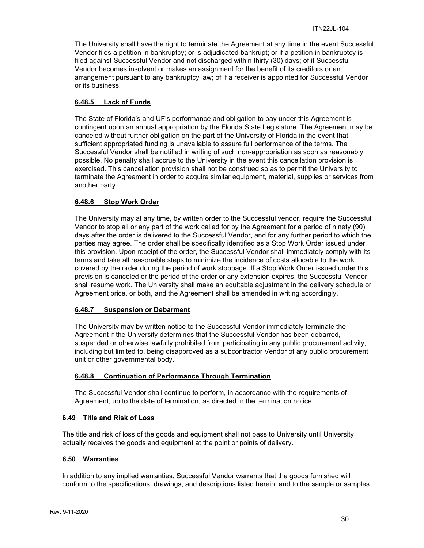The University shall have the right to terminate the Agreement at any time in the event Successful Vendor files a petition in bankruptcy; or is adjudicated bankrupt; or if a petition in bankruptcy is filed against Successful Vendor and not discharged within thirty (30) days; of if Successful Vendor becomes insolvent or makes an assignment for the benefit of its creditors or an arrangement pursuant to any bankruptcy law; of if a receiver is appointed for Successful Vendor or its business.

#### <span id="page-29-0"></span>**6.48.5 Lack of Funds**

The State of Florida's and UF's performance and obligation to pay under this Agreement is contingent upon an annual appropriation by the Florida State Legislature. The Agreement may be canceled without further obligation on the part of the University of Florida in the event that sufficient appropriated funding is unavailable to assure full performance of the terms. The Successful Vendor shall be notified in writing of such non-appropriation as soon as reasonably possible. No penalty shall accrue to the University in the event this cancellation provision is exercised. This cancellation provision shall not be construed so as to permit the University to terminate the Agreement in order to acquire similar equipment, material, supplies or services from another party.

#### <span id="page-29-1"></span>**6.48.6 Stop Work Order**

The University may at any time, by written order to the Successful vendor, require the Successful Vendor to stop all or any part of the work called for by the Agreement for a period of ninety (90) days after the order is delivered to the Successful Vendor, and for any further period to which the parties may agree. The order shall be specifically identified as a Stop Work Order issued under this provision. Upon receipt of the order, the Successful Vendor shall immediately comply with its terms and take all reasonable steps to minimize the incidence of costs allocable to the work covered by the order during the period of work stoppage. If a Stop Work Order issued under this provision is canceled or the period of the order or any extension expires, the Successful Vendor shall resume work. The University shall make an equitable adjustment in the delivery schedule or Agreement price, or both, and the Agreement shall be amended in writing accordingly.

#### <span id="page-29-2"></span>**6.48.7 Suspension or Debarment**

The University may by written notice to the Successful Vendor immediately terminate the Agreement if the University determines that the Successful Vendor has been debarred, suspended or otherwise lawfully prohibited from participating in any public procurement activity, including but limited to, being disapproved as a subcontractor Vendor of any public procurement unit or other governmental body.

#### <span id="page-29-3"></span>**6.48.8 Continuation of Performance Through Termination**

The Successful Vendor shall continue to perform, in accordance with the requirements of Agreement, up to the date of termination, as directed in the termination notice.

#### <span id="page-29-4"></span>**6.49 Title and Risk of Loss**

The title and risk of loss of the goods and equipment shall not pass to University until University actually receives the goods and equipment at the point or points of delivery.

#### <span id="page-29-5"></span>**6.50 Warranties**

In addition to any implied warranties, Successful Vendor warrants that the goods furnished will conform to the specifications, drawings, and descriptions listed herein, and to the sample or samples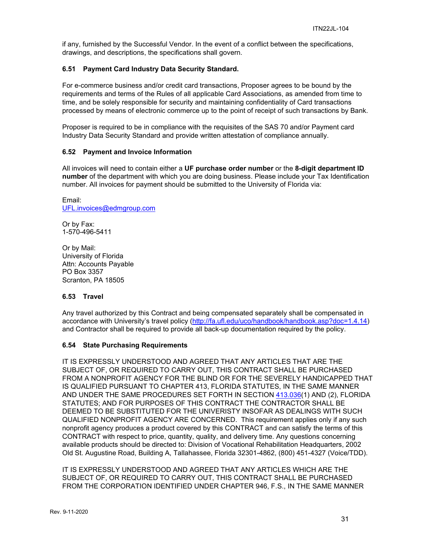if any, furnished by the Successful Vendor. In the event of a conflict between the specifications, drawings, and descriptions, the specifications shall govern.

#### <span id="page-30-0"></span>**6.51 Payment Card Industry Data Security Standard.**

For e-commerce business and/or credit card transactions, Proposer agrees to be bound by the requirements and terms of the Rules of all applicable Card Associations, as amended from time to time, and be solely responsible for security and maintaining confidentiality of Card transactions processed by means of electronic commerce up to the point of receipt of such transactions by Bank.

Proposer is required to be in compliance with the requisites of the SAS 70 and/or Payment card Industry Data Security Standard and provide written attestation of compliance annually.

#### <span id="page-30-1"></span>**6.52 Payment and Invoice Information**

All invoices will need to contain either a **UF purchase order number** or the **8-digit department ID number** of the department with which you are doing business. Please include your Tax Identification number. All invoices for payment should be submitted to the University of Florida via:

Email: [UFL.invoices@edmgroup.com](mailto:UFL.invoices@edmgroup.com)

Or by Fax: 1-570-496-5411

Or by Mail: University of Florida Attn: Accounts Payable PO Box 3357 Scranton, PA 18505

#### <span id="page-30-2"></span>**6.53 Travel**

Any travel authorized by this Contract and being compensated separately shall be compensated in accordance with University's travel policy [\(http://fa.ufl.edu/uco/handbook/handbook.asp?doc=1.4.14\)](http://fa.ufl.edu/uco/handbook/handbook.asp?doc=1.4.14) and Contractor shall be required to provide all back-up documentation required by the policy.

#### <span id="page-30-3"></span>**6.54 State Purchasing Requirements**

IT IS EXPRESSLY UNDERSTOOD AND AGREED THAT ANY ARTICLES THAT ARE THE SUBJECT OF, OR REQUIRED TO CARRY OUT, THIS CONTRACT SHALL BE PURCHASED FROM A NONPROFIT AGENCY FOR THE BLIND OR FOR THE SEVERELY HANDICAPPED THAT IS QUALIFIED PURSUANT TO CHAPTER 413, FLORIDA STATUTES, IN THE SAME MANNER AND UNDER THE SAME PROCEDURES SET FORTH IN SECTION [413.036\(](http://www.leg.state.fl.us/STATUTES/index.cfm?App_mode=Display_Statute&Search_String=&URL=Ch0413/Sec036.HTM)1) AND (2), FLORIDA STATUTES; AND FOR PURPOSES OF THIS CONTRACT THE CONTRACTOR SHALL BE DEEMED TO BE SUBSTITUTED FOR THE UNIVERISTY INSOFAR AS DEALINGS WITH SUCH QUALIFIED NONPROFIT AGENCY ARE CONCERNED. This requirement applies only if any such nonprofit agency produces a product covered by this CONTRACT and can satisfy the terms of this CONTRACT with respect to price, quantity, quality, and delivery time. Any questions concerning available products should be directed to: Division of Vocational Rehabilitation Headquarters, 2002 Old St. Augustine Road, Building A, Tallahassee, Florida 32301-4862, (800) 451-4327 (Voice/TDD).

IT IS EXPRESSLY UNDERSTOOD AND AGREED THAT ANY ARTICLES WHICH ARE THE SUBJECT OF, OR REQUIRED TO CARRY OUT, THIS CONTRACT SHALL BE PURCHASED FROM THE CORPORATION IDENTIFIED UNDER CHAPTER 946, F.S., IN THE SAME MANNER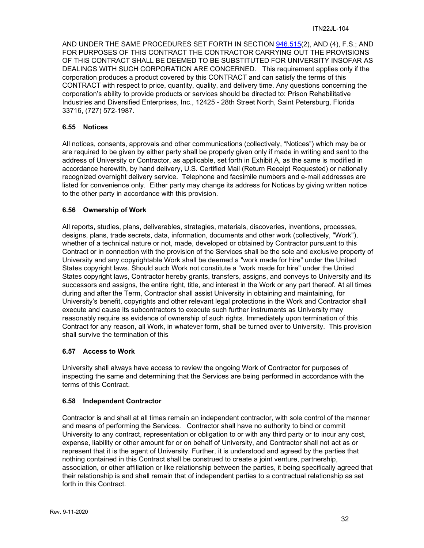AND UNDER THE SAME PROCEDURES SET FORTH IN SECTION [946.515\(](http://www.leg.state.fl.us/STATUTES/index.cfm?App_mode=Display_Statute&Search_String=&URL=Ch0946/Sec515.HTM)2), AND (4), F.S.; AND FOR PURPOSES OF THIS CONTRACT THE CONTRACTOR CARRYING OUT THE PROVISIONS OF THIS CONTRACT SHALL BE DEEMED TO BE SUBSTITUTED FOR UNIVERSITY INSOFAR AS DEALINGS WITH SUCH CORPORATION ARE CONCERNED. This requirement applies only if the corporation produces a product covered by this CONTRACT and can satisfy the terms of this CONTRACT with respect to price, quantity, quality, and delivery time. Any questions concerning the corporation's ability to provide products or services should be directed to: Prison Rehabilitative Industries and Diversified Enterprises, Inc., 12425 - 28th Street North, Saint Petersburg, Florida 33716, (727) 572-1987.

#### <span id="page-31-0"></span>**6.55 Notices**

All notices, consents, approvals and other communications (collectively, "Notices") which may be or are required to be given by either party shall be properly given only if made in writing and sent to the address of University or Contractor, as applicable, set forth in Exhibit A, as the same is modified in accordance herewith, by hand delivery, U.S. Certified Mail (Return Receipt Requested) or nationally recognized overnight delivery service. Telephone and facsimile numbers and e-mail addresses are listed for convenience only. Either party may change its address for Notices by giving written notice to the other party in accordance with this provision.

#### <span id="page-31-1"></span>**6.56 Ownership of Work**

All reports, studies, plans, deliverables, strategies, materials, discoveries, inventions, processes, designs, plans, trade secrets, data, information, documents and other work (collectively, "Work"), whether of a technical nature or not, made, developed or obtained by Contractor pursuant to this Contract or in connection with the provision of the Services shall be the sole and exclusive property of University and any copyrightable Work shall be deemed a "work made for hire" under the United States copyright laws. Should such Work not constitute a "work made for hire" under the United States copyright laws, Contractor hereby grants, transfers, assigns, and conveys to University and its successors and assigns, the entire right, title, and interest in the Work or any part thereof. At all times during and after the Term, Contractor shall assist University in obtaining and maintaining, for University's benefit, copyrights and other relevant legal protections in the Work and Contractor shall execute and cause its subcontractors to execute such further instruments as University may reasonably require as evidence of ownership of such rights. Immediately upon termination of this Contract for any reason, all Work, in whatever form, shall be turned over to University. This provision shall survive the termination of this

#### <span id="page-31-2"></span>**6.57 Access to Work**

University shall always have access to review the ongoing Work of Contractor for purposes of inspecting the same and determining that the Services are being performed in accordance with the terms of this Contract.

#### <span id="page-31-3"></span>**6.58 Independent Contractor**

Contractor is and shall at all times remain an independent contractor, with sole control of the manner and means of performing the Services. Contractor shall have no authority to bind or commit University to any contract, representation or obligation to or with any third party or to incur any cost, expense, liability or other amount for or on behalf of University, and Contractor shall not act as or represent that it is the agent of University. Further, it is understood and agreed by the parties that nothing contained in this Contract shall be construed to create a joint venture, partnership, association, or other affiliation or like relationship between the parties, it being specifically agreed that their relationship is and shall remain that of independent parties to a contractual relationship as set forth in this Contract.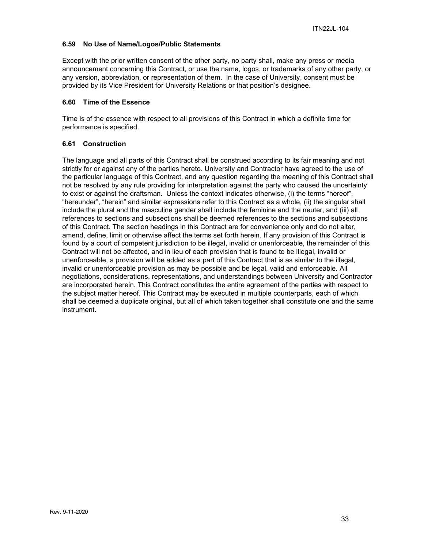#### <span id="page-32-0"></span>**6.59 No Use of Name/Logos/Public Statements**

Except with the prior written consent of the other party, no party shall, make any press or media announcement concerning this Contract, or use the name, logos, or trademarks of any other party, or any version, abbreviation, or representation of them. In the case of University, consent must be provided by its Vice President for University Relations or that position's designee.

#### <span id="page-32-1"></span>**6.60 Time of the Essence**

Time is of the essence with respect to all provisions of this Contract in which a definite time for performance is specified.

#### <span id="page-32-2"></span>**6.61 Construction**

The language and all parts of this Contract shall be construed according to its fair meaning and not strictly for or against any of the parties hereto. University and Contractor have agreed to the use of the particular language of this Contract, and any question regarding the meaning of this Contract shall not be resolved by any rule providing for interpretation against the party who caused the uncertainty to exist or against the draftsman. Unless the context indicates otherwise, (i) the terms "hereof", "hereunder", "herein" and similar expressions refer to this Contract as a whole, (ii) the singular shall include the plural and the masculine gender shall include the feminine and the neuter, and (iii) all references to sections and subsections shall be deemed references to the sections and subsections of this Contract. The section headings in this Contract are for convenience only and do not alter, amend, define, limit or otherwise affect the terms set forth herein. If any provision of this Contract is found by a court of competent jurisdiction to be illegal, invalid or unenforceable, the remainder of this Contract will not be affected, and in lieu of each provision that is found to be illegal, invalid or unenforceable, a provision will be added as a part of this Contract that is as similar to the illegal, invalid or unenforceable provision as may be possible and be legal, valid and enforceable. All negotiations, considerations, representations, and understandings between University and Contractor are incorporated herein. This Contract constitutes the entire agreement of the parties with respect to the subject matter hereof. This Contract may be executed in multiple counterparts, each of which shall be deemed a duplicate original, but all of which taken together shall constitute one and the same instrument.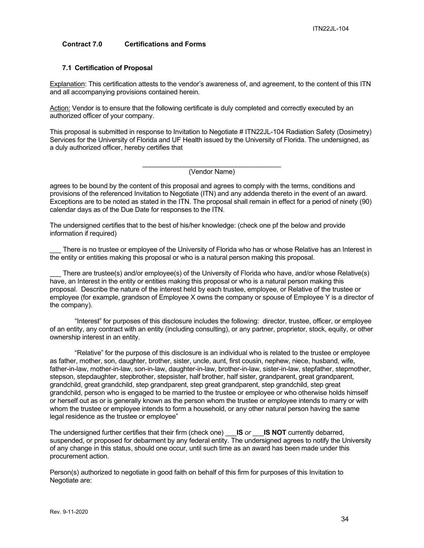#### <span id="page-33-0"></span>**Contract 7.0 Certifications and Forms**

#### <span id="page-33-1"></span>**7.1 Certification of Proposal**

Explanation: This certification attests to the vendor's awareness of, and agreement, to the content of this ITN and all accompanying provisions contained herein.

Action: Vendor is to ensure that the following certificate is duly completed and correctly executed by an authorized officer of your company.

This proposal is submitted in response to Invitation to Negotiate # ITN22JL-104 Radiation Safety (Dosimetry) Services for the University of Florida and UF Health issued by the University of Florida. The undersigned, as a duly authorized officer, hereby certifies that

> \_\_\_\_\_\_\_\_\_\_\_\_\_\_\_\_\_\_\_\_\_\_\_\_\_\_\_\_\_\_\_\_\_\_\_\_\_ (Vendor Name)

agrees to be bound by the content of this proposal and agrees to comply with the terms, conditions and provisions of the referenced Invitation to Negotiate (ITN) and any addenda thereto in the event of an award. Exceptions are to be noted as stated in the ITN. The proposal shall remain in effect for a period of ninety (90) calendar days as of the Due Date for responses to the ITN.

The undersigned certifies that to the best of his/her knowledge: (check one pf the below and provide information if required)

There is no trustee or employee of the University of Florida who has or whose Relative has an Interest in the entity or entities making this proposal or who is a natural person making this proposal.

There are trustee(s) and/or employee(s) of the University of Florida who have, and/or whose Relative(s) have, an Interest in the entity or entities making this proposal or who is a natural person making this proposal. Describe the nature of the interest held by each trustee, employee, or Relative of the trustee or employee (for example, grandson of Employee X owns the company or spouse of Employee Y is a director of the company).

"Interest" for purposes of this disclosure includes the following: director, trustee, officer, or employee of an entity, any contract with an entity (including consulting), or any partner, proprietor, stock, equity, or other ownership interest in an entity.

"Relative" for the purpose of this disclosure is an individual who is related to the trustee or employee as father, mother, son, daughter, brother, sister, uncle, aunt, first cousin, nephew, niece, husband, wife, father-in-law, mother-in-law, son-in-law, daughter-in-law, brother-in-law, sister-in-law, stepfather, stepmother, stepson, stepdaughter, stepbrother, stepsister, half brother, half sister, grandparent, great grandparent, grandchild, great grandchild, step grandparent, step great grandparent, step grandchild, step great grandchild, person who is engaged to be married to the trustee or employee or who otherwise holds himself or herself out as or is generally known as the person whom the trustee or employee intends to marry or with whom the trustee or employee intends to form a household, or any other natural person having the same legal residence as the trustee or employee"

The undersigned further certifies that their firm (check one) \_\_\_**IS** *or* \_\_\_**IS NOT** currently debarred, suspended, or proposed for debarment by any federal entity. The undersigned agrees to notify the University of any change in this status, should one occur, until such time as an award has been made under this procurement action.

Person(s) authorized to negotiate in good faith on behalf of this firm for purposes of this Invitation to Negotiate are: